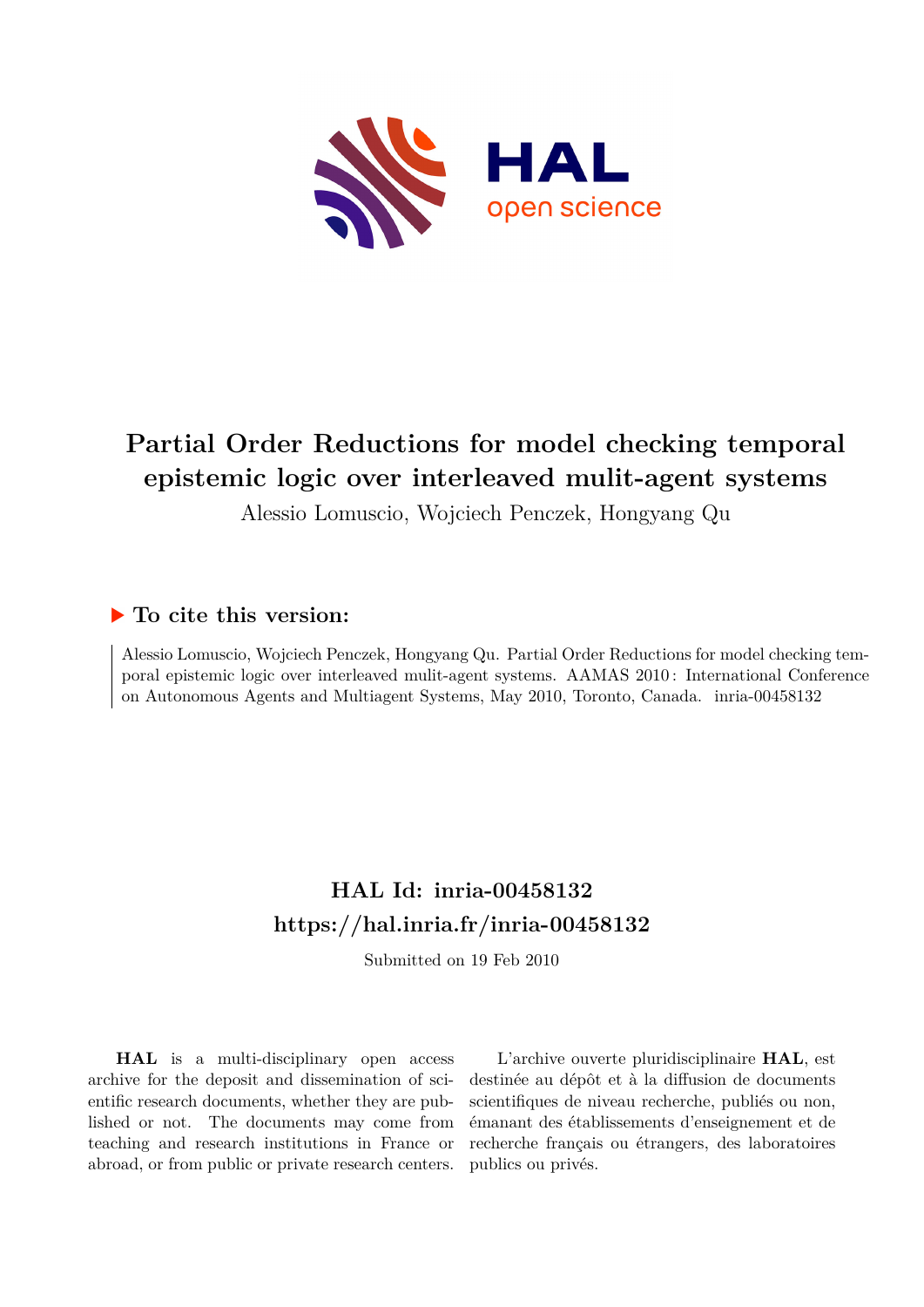

# **Partial Order Reductions for model checking temporal epistemic logic over interleaved mulit-agent systems**

Alessio Lomuscio, Wojciech Penczek, Hongyang Qu

# **To cite this version:**

Alessio Lomuscio, Wojciech Penczek, Hongyang Qu. Partial Order Reductions for model checking temporal epistemic logic over interleaved mulit-agent systems. AAMAS 2010 : International Conference on Autonomous Agents and Multiagent Systems, May 2010, Toronto, Canada. inria-00458132

# **HAL Id: inria-00458132 <https://hal.inria.fr/inria-00458132>**

Submitted on 19 Feb 2010

**HAL** is a multi-disciplinary open access archive for the deposit and dissemination of scientific research documents, whether they are published or not. The documents may come from teaching and research institutions in France or abroad, or from public or private research centers.

L'archive ouverte pluridisciplinaire **HAL**, est destinée au dépôt et à la diffusion de documents scientifiques de niveau recherche, publiés ou non, émanant des établissements d'enseignement et de recherche français ou étrangers, des laboratoires publics ou privés.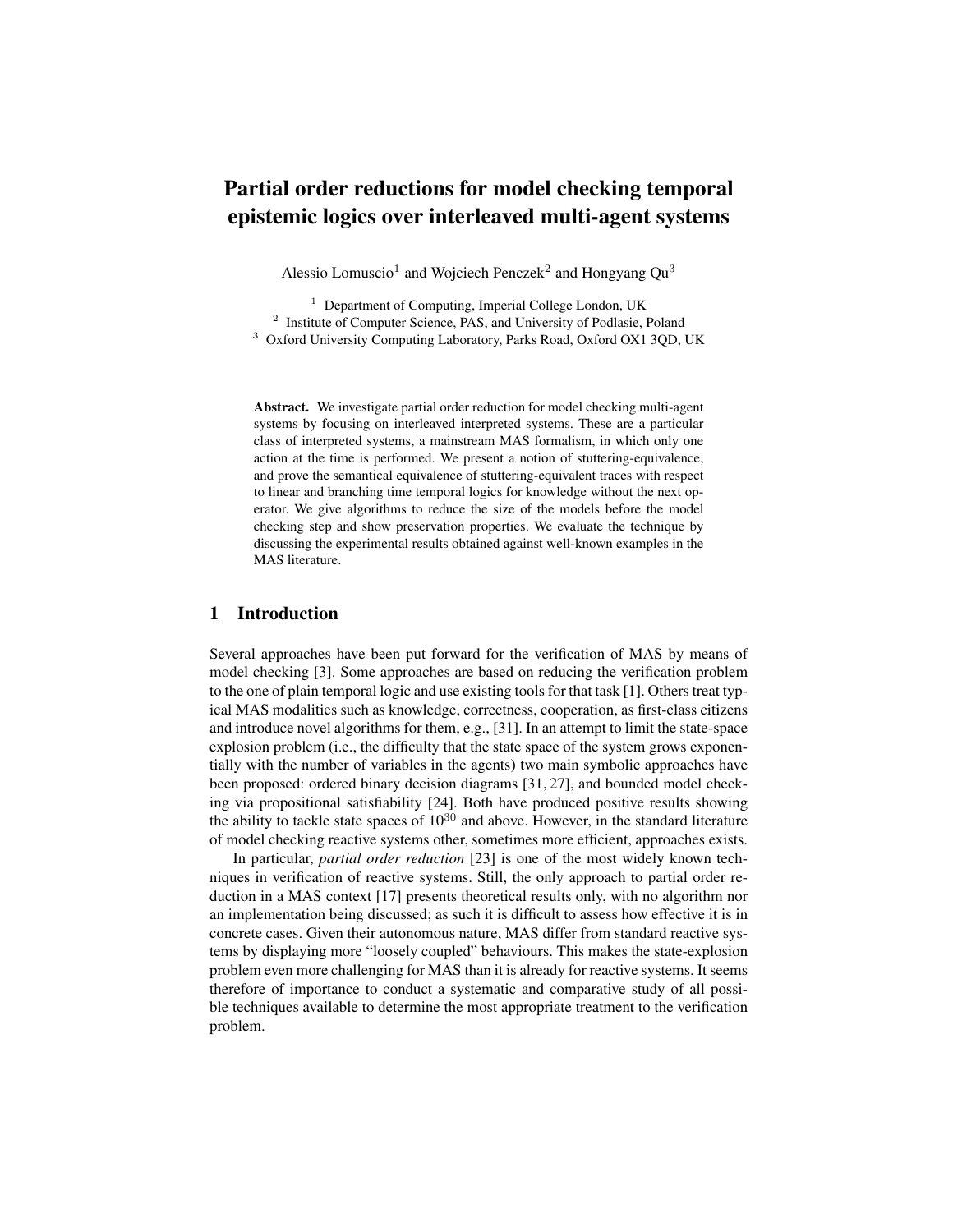# Partial order reductions for model checking temporal epistemic logics over interleaved multi-agent systems

Alessio Lomuscio<sup>1</sup> and Wojciech Penczek<sup>2</sup> and Hongyang Qu<sup>3</sup>

<sup>1</sup> Department of Computing, Imperial College London, UK <sup>2</sup> Institute of Computer Science, PAS, and University of Podlasie, Poland <sup>3</sup> Oxford University Computing Laboratory, Parks Road, Oxford OX1 3QD, UK

Abstract. We investigate partial order reduction for model checking multi-agent systems by focusing on interleaved interpreted systems. These are a particular class of interpreted systems, a mainstream MAS formalism, in which only one action at the time is performed. We present a notion of stuttering-equivalence, and prove the semantical equivalence of stuttering-equivalent traces with respect to linear and branching time temporal logics for knowledge without the next operator. We give algorithms to reduce the size of the models before the model checking step and show preservation properties. We evaluate the technique by discussing the experimental results obtained against well-known examples in the MAS literature.

## 1 Introduction

Several approaches have been put forward for the verification of MAS by means of model checking [3]. Some approaches are based on reducing the verification problem to the one of plain temporal logic and use existing tools for that task [1]. Others treat typical MAS modalities such as knowledge, correctness, cooperation, as first-class citizens and introduce novel algorithms for them, e.g., [31]. In an attempt to limit the state-space explosion problem (i.e., the difficulty that the state space of the system grows exponentially with the number of variables in the agents) two main symbolic approaches have been proposed: ordered binary decision diagrams [31, 27], and bounded model checking via propositional satisfiability [24]. Both have produced positive results showing the ability to tackle state spaces of  $10^{30}$  and above. However, in the standard literature of model checking reactive systems other, sometimes more efficient, approaches exists.

In particular, *partial order reduction* [23] is one of the most widely known techniques in verification of reactive systems. Still, the only approach to partial order reduction in a MAS context [17] presents theoretical results only, with no algorithm nor an implementation being discussed; as such it is difficult to assess how effective it is in concrete cases. Given their autonomous nature, MAS differ from standard reactive systems by displaying more "loosely coupled" behaviours. This makes the state-explosion problem even more challenging for MAS than it is already for reactive systems. It seems therefore of importance to conduct a systematic and comparative study of all possible techniques available to determine the most appropriate treatment to the verification problem.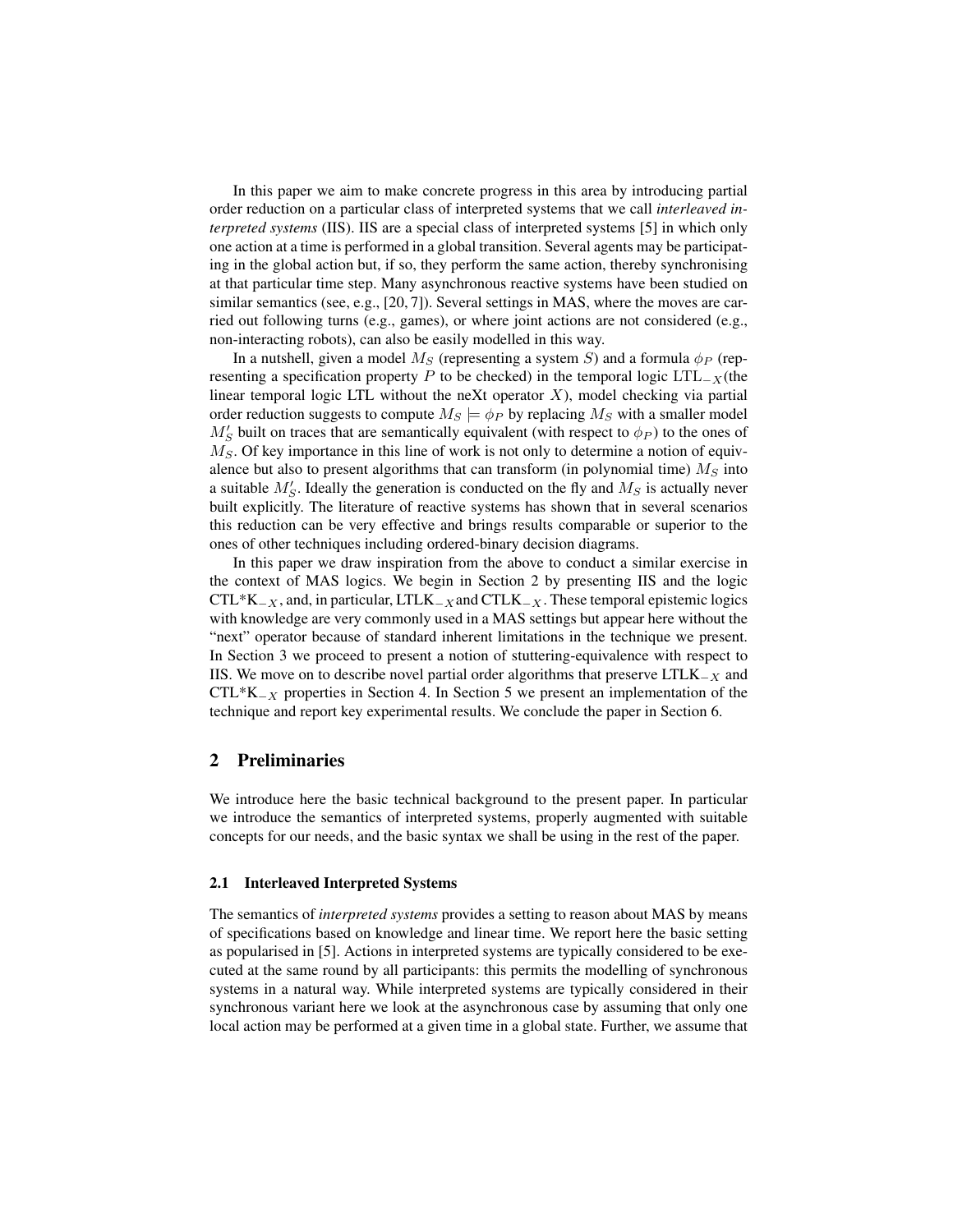In this paper we aim to make concrete progress in this area by introducing partial order reduction on a particular class of interpreted systems that we call *interleaved interpreted systems* (IIS). IIS are a special class of interpreted systems [5] in which only one action at a time is performed in a global transition. Several agents may be participating in the global action but, if so, they perform the same action, thereby synchronising at that particular time step. Many asynchronous reactive systems have been studied on similar semantics (see, e.g., [20, 7]). Several settings in MAS, where the moves are carried out following turns (e.g., games), or where joint actions are not considered (e.g., non-interacting robots), can also be easily modelled in this way.

In a nutshell, given a model  $M_S$  (representing a system S) and a formula  $\phi_P$  (representing a specification property P to be checked) in the temporal logic  $LTL_{-X}$ (the linear temporal logic LTL without the neXt operator  $X$ ), model checking via partial order reduction suggests to compute  $M_S \models \phi_P$  by replacing  $M_S$  with a smaller model  $M'_{S}$  built on traces that are semantically equivalent (with respect to  $\phi_{P}$ ) to the ones of  $M<sub>S</sub>$ . Of key importance in this line of work is not only to determine a notion of equivalence but also to present algorithms that can transform (in polynomial time)  $M_S$  into a suitable  $M'_{S}$ . Ideally the generation is conducted on the fly and  $M_{S}$  is actually never built explicitly. The literature of reactive systems has shown that in several scenarios this reduction can be very effective and brings results comparable or superior to the ones of other techniques including ordered-binary decision diagrams.

In this paper we draw inspiration from the above to conduct a similar exercise in the context of MAS logics. We begin in Section 2 by presenting IIS and the logic  $CTL*K_{-X}$ , and, in particular, LTLK<sub>-X</sub> and CTLK<sub>-X</sub>. These temporal epistemic logics with knowledge are very commonly used in a MAS settings but appear here without the "next" operator because of standard inherent limitations in the technique we present. In Section 3 we proceed to present a notion of stuttering-equivalence with respect to IIS. We move on to describe novel partial order algorithms that preserve  $LTLK_{-X}$  and  $CTL*K_{-X}$  properties in Section 4. In Section 5 we present an implementation of the technique and report key experimental results. We conclude the paper in Section 6.

## 2 Preliminaries

We introduce here the basic technical background to the present paper. In particular we introduce the semantics of interpreted systems, properly augmented with suitable concepts for our needs, and the basic syntax we shall be using in the rest of the paper.

#### 2.1 Interleaved Interpreted Systems

The semantics of *interpreted systems* provides a setting to reason about MAS by means of specifications based on knowledge and linear time. We report here the basic setting as popularised in [5]. Actions in interpreted systems are typically considered to be executed at the same round by all participants: this permits the modelling of synchronous systems in a natural way. While interpreted systems are typically considered in their synchronous variant here we look at the asynchronous case by assuming that only one local action may be performed at a given time in a global state. Further, we assume that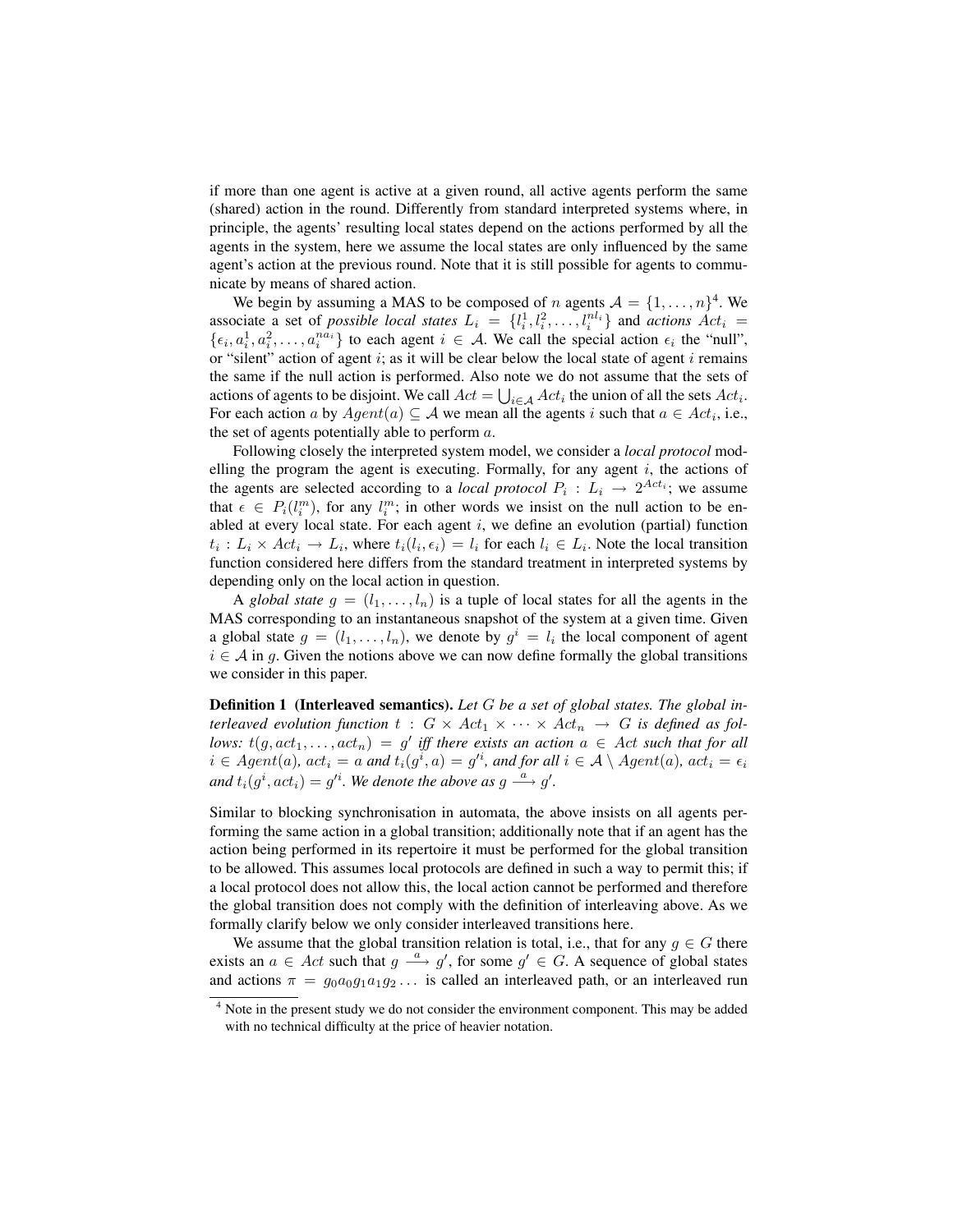if more than one agent is active at a given round, all active agents perform the same (shared) action in the round. Differently from standard interpreted systems where, in principle, the agents' resulting local states depend on the actions performed by all the agents in the system, here we assume the local states are only influenced by the same agent's action at the previous round. Note that it is still possible for agents to communicate by means of shared action.

We begin by assuming a MAS to be composed of n agents  $A = \{1, \ldots, n\}^4$ . We associate a set of *possible local states*  $L_i = \{l_i^1, l_i^2, \ldots, l_i^{nl_i}\}$  and *actions*  $Act_i =$  $\{\epsilon_i, a_i^1, a_i^2, \ldots, a_i^{n\bar{a_i}}\}$  to each agent  $i \in \mathcal{A}$ . We call the special action  $\epsilon_i$  the "null", or "silent" action of agent  $i$ ; as it will be clear below the local state of agent  $i$  remains the same if the null action is performed. Also note we do not assume that the sets of actions of agents to be disjoint. We call  $Act = \bigcup_{i \in A} Act_i$  the union of all the sets  $Act_i$ . For each action a by  $Agent(a) \subseteq \mathcal{A}$  we mean all the agents i such that  $a \in Act_i$ , i.e., the set of agents potentially able to perform  $a$ .

Following closely the interpreted system model, we consider a *local protocol* modelling the program the agent is executing. Formally, for any agent  $i$ , the actions of the agents are selected according to a *local protocol*  $P_i: L_i \rightarrow 2^{Act_i}$ ; we assume that  $\epsilon \in P_i(l_i^m)$ , for any  $l_i^m$ ; in other words we insist on the null action to be enabled at every local state. For each agent  $i$ , we define an evolution (partial) function  $t_i: L_i \times Act_i \to L_i$ , where  $t_i(l_i, \epsilon_i) = l_i$  for each  $l_i \in L_i$ . Note the local transition function considered here differs from the standard treatment in interpreted systems by depending only on the local action in question.

A *global state*  $g = (l_1, \ldots, l_n)$  is a tuple of local states for all the agents in the MAS corresponding to an instantaneous snapshot of the system at a given time. Given a global state  $g = (l_1, \ldots, l_n)$ , we denote by  $g^i = l_i$  the local component of agent  $i \in A$  in g. Given the notions above we can now define formally the global transitions we consider in this paper.

Definition 1 (Interleaved semantics). *Let* G *be a set of global states. The global interleaved evolution function*  $t : G \times Act_1 \times \cdots \times Act_n \rightarrow G$  *is defined as fol-* $\lceil \textit{rows: } t(g, act_1, \ldots, act_n) = g'$  iff there exists an action  $a \in \textit{Act}$  such that for all  $i \in Agent(a)$ ,  $act_i = a$  and  $t_i(g^i, a) = g'^i$ , and for all  $i \in A \setminus Agent(a)$ ,  $act_i = \epsilon_i$ and  $t_i(g^i, act_i) = g'^i$ . We denote the above as  $g \stackrel{a}{\longrightarrow} g'$ .

Similar to blocking synchronisation in automata, the above insists on all agents performing the same action in a global transition; additionally note that if an agent has the action being performed in its repertoire it must be performed for the global transition to be allowed. This assumes local protocols are defined in such a way to permit this; if a local protocol does not allow this, the local action cannot be performed and therefore the global transition does not comply with the definition of interleaving above. As we formally clarify below we only consider interleaved transitions here.

We assume that the global transition relation is total, i.e., that for any  $g \in G$  there exists an  $a \in Act$  such that  $g \stackrel{a}{\longrightarrow} g'$ , for some  $g' \in G$ . A sequence of global states and actions  $\pi = g_0 a_0 g_1 a_1 g_2 \dots$  is called an interleaved path, or an interleaved run

<sup>&</sup>lt;sup>4</sup> Note in the present study we do not consider the environment component. This may be added with no technical difficulty at the price of heavier notation.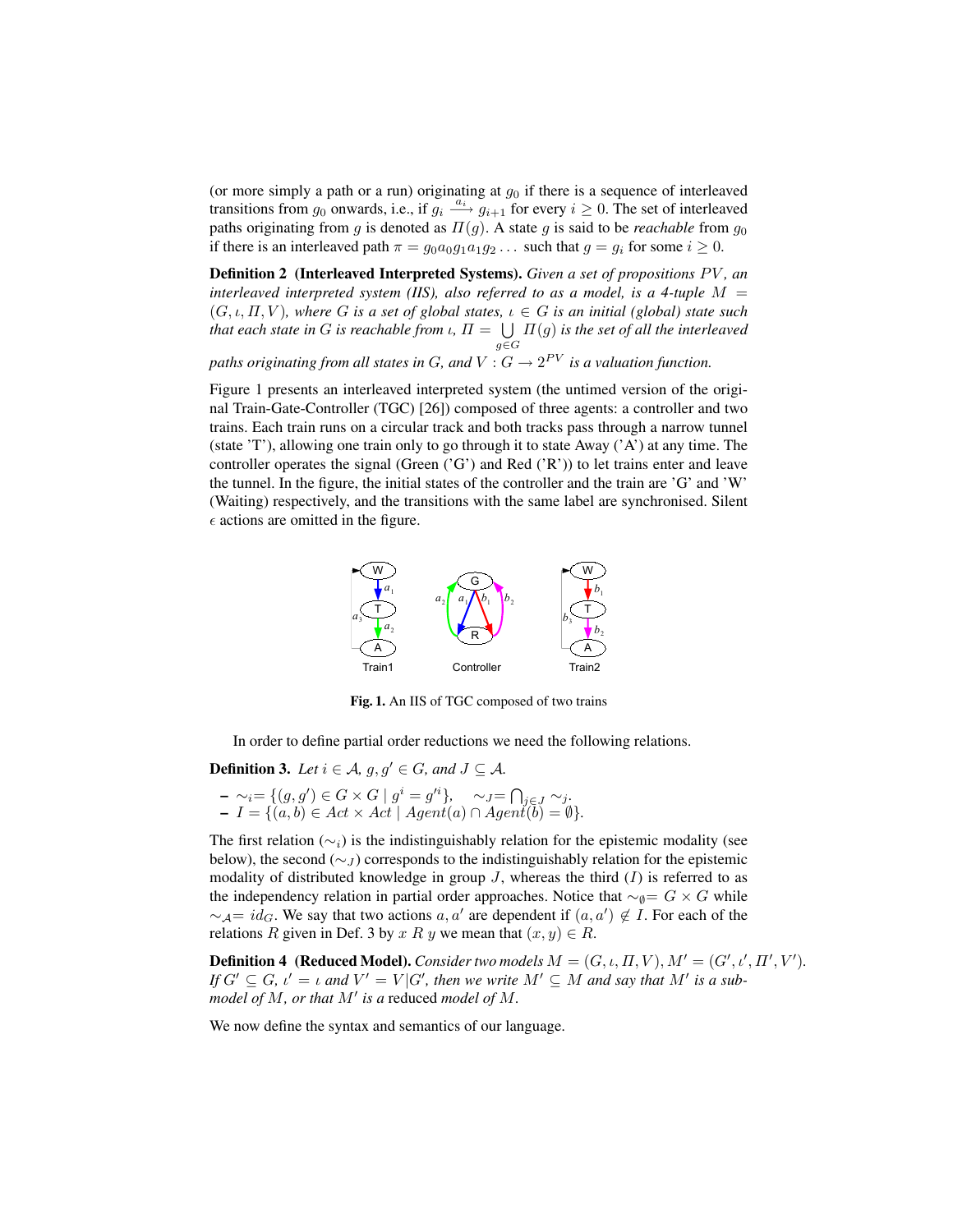(or more simply a path or a run) originating at  $g_0$  if there is a sequence of interleaved transitions from  $g_0$  onwards, i.e., if  $g_i \stackrel{a_i}{\longrightarrow} g_{i+1}$  for every  $i \ge 0$ . The set of interleaved paths originating from g is denoted as  $\Pi(g)$ . A state g is said to be *reachable* from  $g_0$ if there is an interleaved path  $\pi = g_0 a_0 g_1 a_1 g_2 \dots$  such that  $g = g_i$  for some  $i \ge 0$ .

**Definition 2** (Interleaved Interpreted Systems). *Given a set of propositions PV*, an *interleaved interpreted system (IIS), also referred to as a model, is a 4-tuple M*  $=$  $(G, \iota, \Pi, V)$ , where G is a set of global states,  $\iota \in G$  is an initial (global) state such *that each state in G is reachable from ι,*  $\Pi = \bigcup$ g∈G Π(g) *is the set of all the interleaved*

paths originating from all states in  $G$ , and  $V: G \rightarrow 2^{PV}$  is a valuation function.

Figure 1 presents an interleaved interpreted system (the untimed version of the original Train-Gate-Controller (TGC) [26]) composed of three agents: a controller and two trains. Each train runs on a circular track and both tracks pass through a narrow tunnel (state 'T'), allowing one train only to go through it to state Away ('A') at any time. The controller operates the signal (Green  $({}^{\circ}G^{\prime})$ ) and Red  $({}^{\circ}R^{\prime})$ ) to let trains enter and leave the tunnel. In the figure, the initial states of the controller and the train are 'G' and 'W' (Waiting) respectively, and the transitions with the same label are synchronised. Silent  $\epsilon$  actions are omitted in the figure.



Fig. 1. An IIS of TGC composed of two trains

In order to define partial order reductions we need the following relations.

**Definition 3.** *Let*  $i \in A$ *, g<sub></sub>, g'*  $\in G$ *, and*  $J \subseteq A$ *.* 

 $- \sim_i = \{ (g, g') \in G \times G \mid g^i = g'^i \}, \quad \sim_J = \bigcap_{j \in J} \sim_j$ *.* – I = {(a, b) ∈ Act × Act | Agent(a) ∩ Agent(b) = ∅}*.*

The first relation ( $\sim_i$ ) is the indistinguishably relation for the epistemic modality (see below), the second ( $\sim$ J) corresponds to the indistinguishably relation for the epistemic modality of distributed knowledge in group  $J$ , whereas the third  $(I)$  is referred to as the independency relation in partial order approaches. Notice that  $\sim_{\emptyset} = G \times G$  while  $\sim_{\mathcal{A}} = id_G$ . We say that two actions  $a, a'$  are dependent if  $(a, a') \notin I$ . For each of the relations R given in Def. 3 by x R y we mean that  $(x, y) \in R$ .

**Definition 4** (Reduced Model). *Consider two models*  $M = (G, \iota, \Pi, V), M' = (G', \iota', \Pi', V').$ *If*  $G' \subseteq G$ ,  $\iota' = \iota$  and  $V' = V|G'$ , then we write  $M' \subseteq M$  and say that  $M'$  is a submodel of  $M$ , or that  $M'$  is a reduced model of  $M$ .

We now define the syntax and semantics of our language.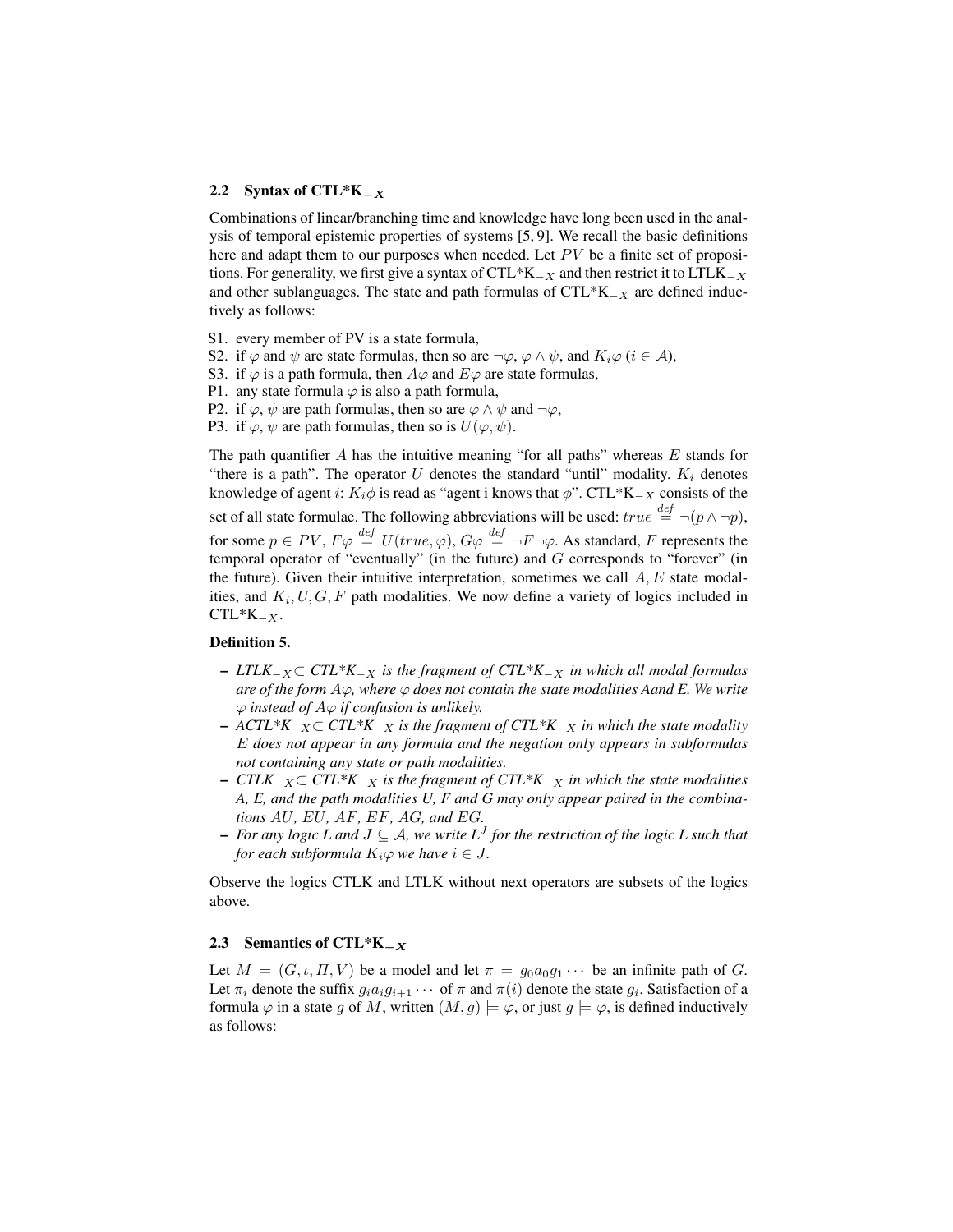#### 2.2 Syntax of CTL\*K $_{-X}$

Combinations of linear/branching time and knowledge have long been used in the analysis of temporal epistemic properties of systems [5, 9]. We recall the basic definitions here and adapt them to our purposes when needed. Let  $PV$  be a finite set of propositions. For generality, we first give a syntax of CTL\*K<sub> $-X$ </sub> and then restrict it to LTLK<sub> $-X$ </sub> and other sublanguages. The state and path formulas of  $CTL*K_{-X}$  are defined inductively as follows:

- S1. every member of PV is a state formula,
- S2. if  $\varphi$  and  $\psi$  are state formulas, then so are  $\neg \varphi$ ,  $\varphi \wedge \psi$ , and  $K_i\varphi$  ( $i \in \mathcal{A}$ ),
- S3. if  $\varphi$  is a path formula, then  $A\varphi$  and  $E\varphi$  are state formulas,
- P1. any state formula  $\varphi$  is also a path formula,
- P2. if  $\varphi$ ,  $\psi$  are path formulas, then so are  $\varphi \wedge \psi$  and  $\neg \varphi$ ,
- P3. if  $\varphi$ ,  $\psi$  are path formulas, then so is  $U(\varphi, \psi)$ .

The path quantifier A has the intuitive meaning "for all paths" whereas  $E$  stands for "there is a path". The operator  $U$  denotes the standard "until" modality.  $K_i$  denotes knowledge of agent i:  $K_i \phi$  is read as "agent i knows that  $\phi$ ". CTL\*K<sub>-X</sub> consists of the set of all state formulae. The following abbreviations will be used:  $true \stackrel{def}{=} \neg(p \land \neg p)$ , for some  $p \in PV$ ,  $F\varphi \stackrel{def}{=} U(true, \varphi)$ ,  $G\varphi \stackrel{def}{=} \neg F \neg \varphi$ . As standard, F represents the temporal operator of "eventually" (in the future) and  $G$  corresponds to "forever" (in the future). Given their intuitive interpretation, sometimes we call  $A, E$  state modalities, and  $K_i, U, G, F$  path modalities. We now define a variety of logics included in  $CTL*K_{-X}$ .

### Definition 5.

- *LTLK*<sup>−</sup>X⊂ *CTL\*K*<sup>−</sup><sup>X</sup> *is the fragment of CTL\*K*<sup>−</sup><sup>X</sup> *in which all modal formulas are of the form*  $A\varphi$ *, where*  $\varphi$  *does not contain the state modalities Aand E. We write* ϕ *instead of* Aϕ *if confusion is unlikely.*
- *ACTL\*K*<sup>−</sup>X⊂ *CTL\*K*<sup>−</sup><sup>X</sup> *is the fragment of CTL\*K*<sup>−</sup><sup>X</sup> *in which the state modality* E *does not appear in any formula and the negation only appears in subformulas not containing any state or path modalities.*
- *CTLK*<sup>−</sup>X⊂ *CTL\*K*<sup>−</sup><sup>X</sup> *is the fragment of CTL\*K*<sup>−</sup><sup>X</sup> *in which the state modalities A, E, and the path modalities U, F and G may only appear paired in the combinations* AU*,* EU*,* AF*,* EF*,* AG*, and* EG*.*
- *For any logic L and* J ⊆ A*, we write L*<sup>J</sup> *for the restriction of the logic L such that for each subformula*  $K_i\varphi$  *we have*  $i \in J$ *.*

Observe the logics CTLK and LTLK without next operators are subsets of the logics above.

#### 2.3 Semantics of CTL\*K $_{-x}$

Let  $M = (G, \iota, \Pi, V)$  be a model and let  $\pi = g_0 a_0 g_1 \cdots$  be an infinite path of G. Let  $\pi_i$  denote the suffix  $g_i a_i g_{i+1} \cdots$  of  $\pi$  and  $\pi(i)$  denote the state  $g_i$ . Satisfaction of a formula  $\varphi$  in a state g of M, written  $(M, g) \models \varphi$ , or just  $g \models \varphi$ , is defined inductively as follows: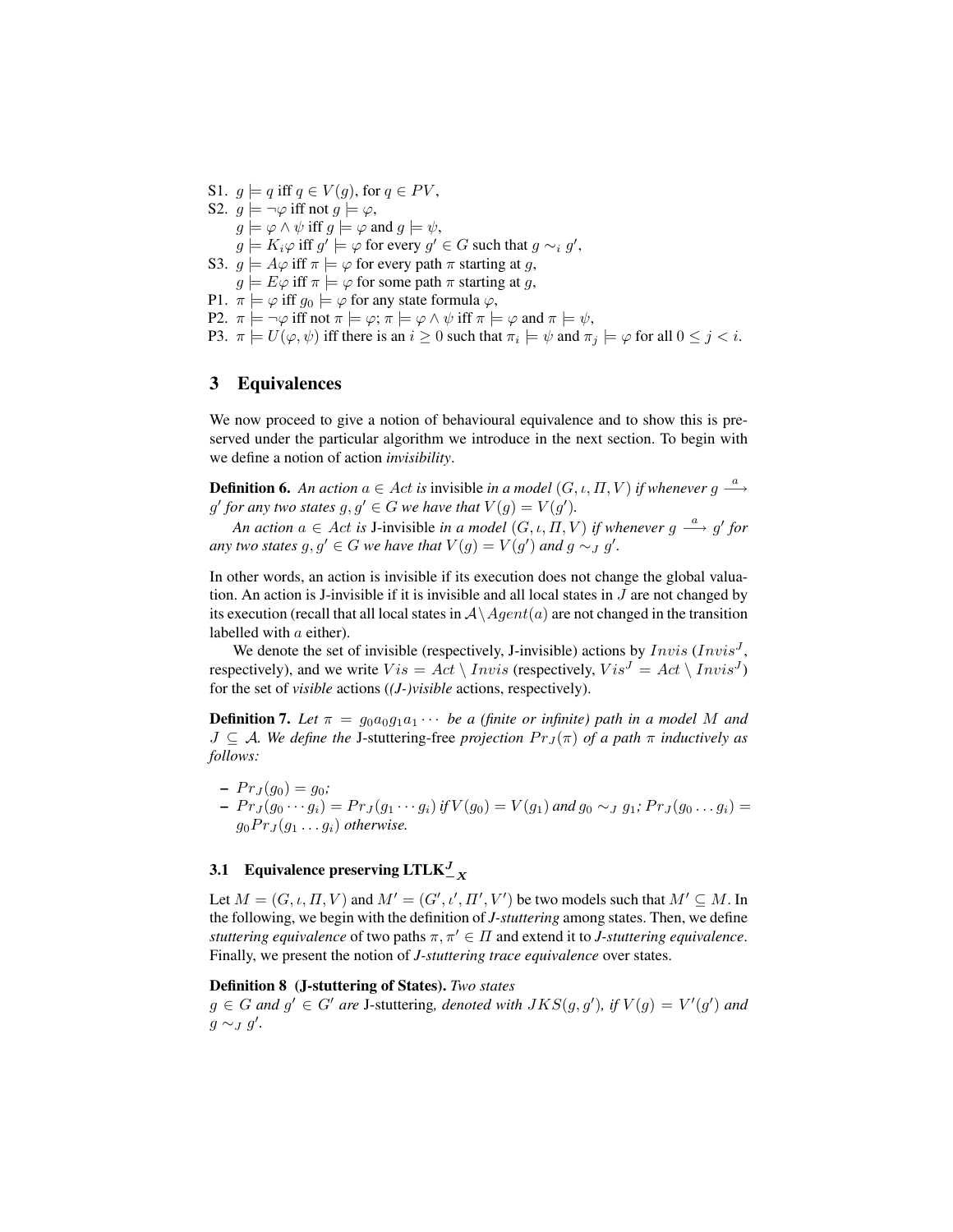S1.  $g \models q$  iff  $q \in V(g)$ , for  $q \in PV$ , S2.  $q \models \neg \varphi$  iff not  $q \models \varphi$ ,  $g \models \varphi \land \psi$  iff  $g \models \varphi$  and  $g \models \psi$ ,  $g \models K_i \varphi$  iff  $g' \models \varphi$  for every  $g' \in G$  such that  $g \sim_i g'$ , S3.  $g \models A\varphi$  iff  $\pi \models \varphi$  for every path  $\pi$  starting at g,  $g \models E\varphi$  iff  $\pi \models \varphi$  for some path  $\pi$  starting at g, P1.  $\pi \models \varphi$  iff  $g_0 \models \varphi$  for any state formula  $\varphi$ , P2.  $\pi \models \neg \varphi$  iff not  $\pi \models \varphi$ ;  $\pi \models \varphi \land \psi$  iff  $\pi \models \varphi$  and  $\pi \models \psi$ , P3.  $\pi \models U(\varphi, \psi)$  iff there is an  $i \geq 0$  such that  $\pi_i \models \psi$  and  $\pi_j \models \varphi$  for all  $0 \leq j < i$ .

## 3 Equivalences

We now proceed to give a notion of behavioural equivalence and to show this is preserved under the particular algorithm we introduce in the next section. To begin with we define a notion of action *invisibility*.

**Definition 6.** An action  $a \in Act$  is invisible in a model  $(G, \iota, \Pi, V)$  if whenever  $g \stackrel{a}{\longrightarrow}$ *g'* for any two states  $g, g' \in G$  we have that  $V(g) = V(g')$ .

*An action*  $a \in Act$  *is* J-invisible *in a model*  $(G, \iota, \overline{H}, V)$  *if whenever*  $g \stackrel{a}{\longrightarrow} g'$  *for any two states*  $g, g' \in G$  *we have that*  $V(g) = V(g')$  *and*  $g \sim_J g'$ *.* 

In other words, an action is invisible if its execution does not change the global valuation. An action is J-invisible if it is invisible and all local states in  $J$  are not changed by its execution (recall that all local states in  $A \setminus Agent(a)$  are not changed in the transition labelled with  $a$  either).

We denote the set of invisible (respectively, J-invisible) actions by  $Invis$  ( $Invis<sup>J</sup>$ , respectively), and we write  $Vis = Act \setminus Invis$  (respectively,  $Vis^J = Act \setminus Invis^J$ ) for the set of *visible* actions (*(J-)visible* actions, respectively).

**Definition 7.** Let  $\pi = g_0 a_0 g_1 a_1 \cdots$  be a (finite or infinite) path in a model M and  $J \subseteq A$ *. We define the* J-stuttering-free *projection*  $Pr_J(\pi)$  *of a path*  $\pi$  *inductively as follows:*

 $- Pr_J(g_0) = g_0;$  $- Pr_J(g_0 \cdots g_i) = Pr_J(g_1 \cdots g_i)$  if  $V(g_0) = V(g_1)$  and  $g_0 \sim_J g_1$ ;  $Pr_J(g_0 \ldots g_i) =$  $g_0 Pr_J(q_1 \ldots q_i)$  *otherwise.* 

# 3.1 Equivalence preserving LTLK $\frac{J}{X}$

Let  $M = (G, \iota, \Pi, V)$  and  $M' = (G', \iota', \Pi', V')$  be two models such that  $M' \subseteq M$ . In the following, we begin with the definition of *J-stuttering* among states. Then, we define *stuttering equivalence* of two paths  $\pi, \pi' \in \Pi$  and extend it to *J-stuttering equivalence*. Finally, we present the notion of *J-stuttering trace equivalence* over states.

#### Definition 8 (J-stuttering of States). *Two states*

 $g \in G$  and  $g' \in G'$  are J-stuttering, denoted with  $JKS(g, g')$ , if  $V(g) = V'(g')$  and  $g \sim_J g'$ .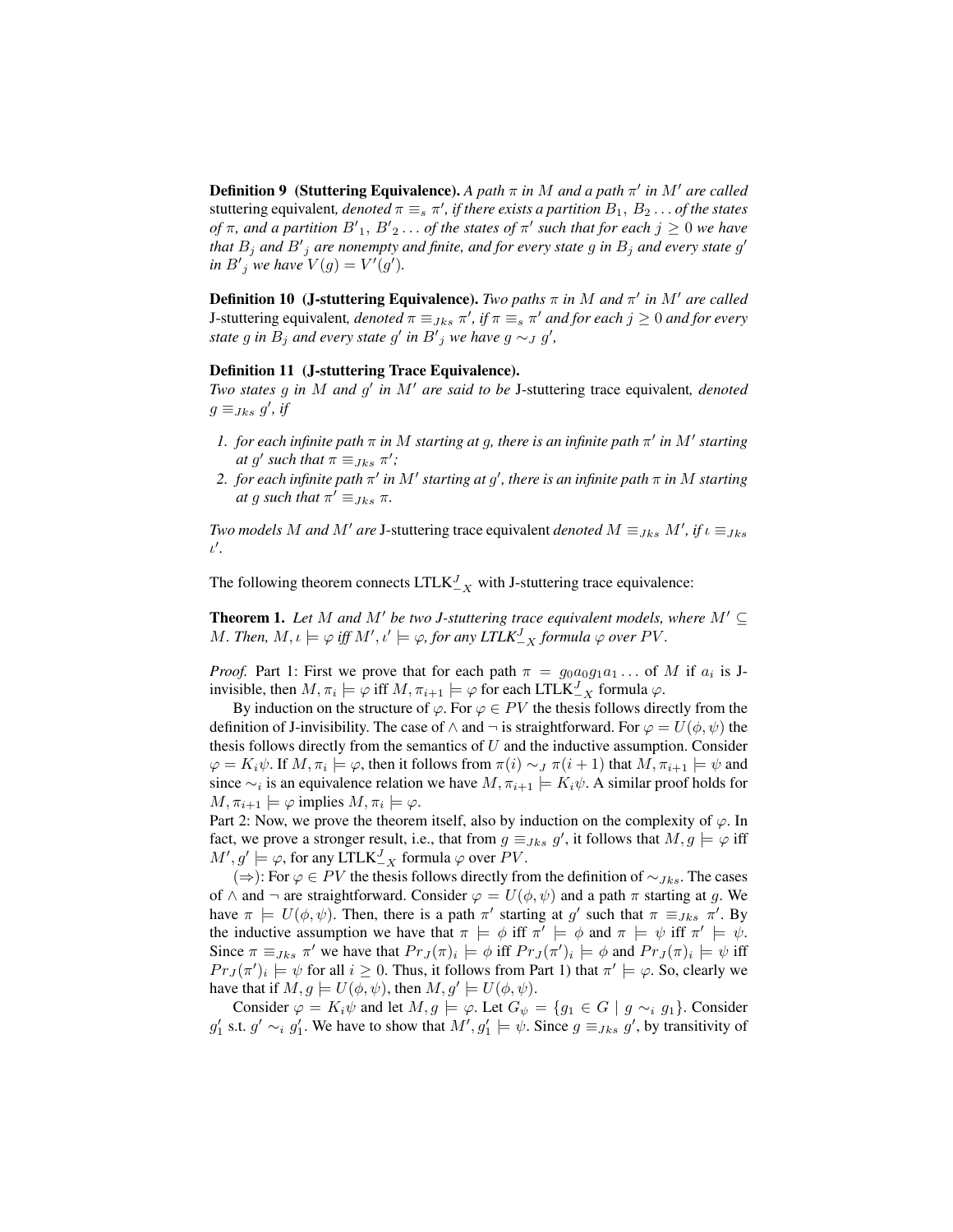**Definition 9** (Stuttering Equivalence). A path  $\pi$  in M and a path  $\pi'$  in M' are called stuttering equivalent,  $denoted \pi \equiv_s \pi'$ , if there exists a partition  $B_1,\,B_2 \dots$  of the states *of*  $\pi$ , and a partition  $B'_{1}$ ,  $B'_{2}$ ... *of the states of*  $\pi'$  *such that for each*  $j \geq 0$  *we have* that  $B_j$  and  $B'_j$  are nonempty and finite, and for every state  $g$  in  $B_j$  and every state  $g'$ *in*  $B'_{j}$  *we have*  $V(g) = V'(g')$ *.* 

**Definition 10 (J-stuttering Equivalence).** *Two paths*  $\pi$  *in* M *and*  $\pi'$  *in* M' are called **J**-stuttering equivalent, *denoted*  $\pi \equiv_{Jks} \pi'$ , *if*  $\pi \equiv_s \pi'$  *and for each*  $j \geq 0$  *and for every state* g in  $B_j$  and every state g' in  $B'_j$  we have g  $\sim_J g'$ ,

#### Definition 11 (J-stuttering Trace Equivalence).

*Two states* g *in* M *and* g 0 *in* M<sup>0</sup> *are said to be* J-stuttering trace equivalent*, denoted*  $g \equiv_{Jks} g'$ , if

- *1. for each infinite path*  $\pi$  *in* M *starting at g, there is an infinite path*  $\pi'$  *in*  $M'$  *starting at* g' such that  $\pi \equiv_{Jks} \pi'$ ;
- $2.$  for each infinite path  $\pi'$  in  $M'$  starting at  $g'$ , there is an infinite path  $\pi$  in  $M$  starting *at* g such that  $\pi' \equiv J_{ks} \pi$ .

*Two models* M *and* M' *are* J-stuttering trace equivalent *denoted*  $M \equiv_{Jks} M'$ , if  $\iota \equiv_{Jks} J'$ ι'.

The following theorem connects  $LTLK_{-X}^{J}$  with J-stuttering trace equivalence:

**Theorem 1.** Let M and M' be two J-stuttering trace equivalent models, where  $M' \subseteq$ M. Then,  $M, \iota \models \varphi$  iff  $M', \iota' \models \varphi$ , for any  $\mathit{LTLK}_{-X}^J$  formula  $\varphi$  over  $PV$ .

*Proof.* Part 1: First we prove that for each path  $\pi = g_0 a_0 g_1 a_1 \dots$  of M if  $a_i$  is Jinvisible, then  $M, \pi_i \models \varphi$  iff  $M, \pi_{i+1} \models \varphi$  for each LTLK $J_X$  formula  $\varphi$ .

By induction on the structure of  $\varphi$ . For  $\varphi \in PV$  the thesis follows directly from the definition of J-invisibility. The case of  $\land$  and  $\neg$  is straightforward. For  $\varphi = U(\phi, \psi)$  the thesis follows directly from the semantics of  $U$  and the inductive assumption. Consider  $\varphi = K_i \psi$ . If  $M, \pi_i \models \varphi$ , then it follows from  $\pi(i) \sim_J \pi(i + 1)$  that  $M, \pi_{i+1} \models \psi$  and since  $\sim_i$  is an equivalence relation we have  $M, \pi_{i+1} \models K_i \psi$ . A similar proof holds for  $M, \pi_{i+1} \models \varphi$  implies  $M, \pi_i \models \varphi$ .

Part 2: Now, we prove the theorem itself, also by induction on the complexity of  $\varphi$ . In fact, we prove a stronger result, i.e., that from  $g \equiv_{Jks} g'$ , it follows that  $M, g \models \varphi$  iff  $M', g' \models \varphi$ , for any LTLK $J_{-X}$  formula  $\varphi$  over PV.

(⇒): For  $\varphi \in PV$  the thesis follows directly from the definition of  $\sim_{Jks}$ . The cases of  $\wedge$  and  $\neg$  are straightforward. Consider  $\varphi = U(\phi, \psi)$  and a path  $\pi$  starting at g. We have  $\pi \models U(\phi, \psi)$ . Then, there is a path  $\pi'$  starting at g' such that  $\pi \equiv_{Jks} \pi'$ . By the inductive assumption we have that  $\pi \models \phi$  iff  $\pi' \models \phi$  and  $\pi \models \psi$  iff  $\pi' \models \psi$ . Since  $\pi \equiv_{Jks} \pi'$  we have that  $Pr_J(\pi)_i \models \phi$  iff  $Pr_J(\pi')_i \models \phi$  and  $Pr_J(\pi)_i \models \psi$  iff  $Pr_J(\pi')_i \models \psi$  for all  $i \geq 0$ . Thus, it follows from Part 1) that  $\pi' \models \varphi$ . So, clearly we have that if  $M, g \models U(\phi, \psi)$ , then  $M, g' \models U(\phi, \psi)$ .

Consider  $\varphi = K_i \psi$  and let  $M, g \models \varphi$ . Let  $G_{\psi} = \{g_1 \in G \mid g \sim_i g_1\}$ . Consider  $g'_1$  s.t.  $g' \sim_i g'_1$ . We have to show that  $M', g'_1 \models \psi$ . Since  $g \equiv_{Jks} g'$ , by transitivity of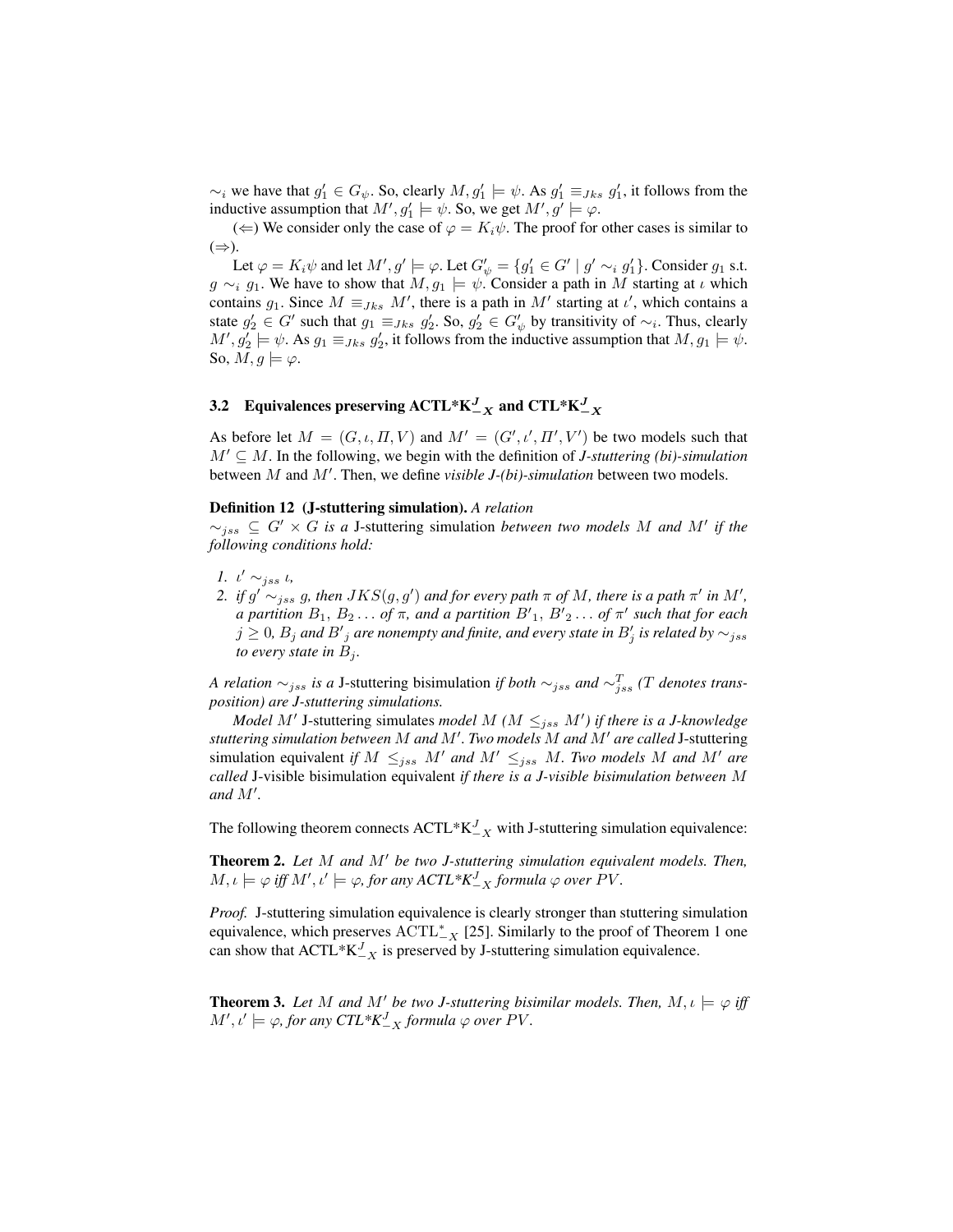$\sim_i$  we have that  $g'_1 \in G_\psi$ . So, clearly  $M, g'_1 \models \psi$ . As  $g'_1 \equiv_{Jks} g'_1$ , it follows from the inductive assumption that  $M', g_1' \models \psi$ . So, we get  $M', g' \models \varphi$ .

(←) We consider only the case of  $\varphi = K_i \psi$ . The proof for other cases is similar to  $(\Rightarrow)$ .

Let  $\varphi = K_i \psi$  and let  $M', g' \models \varphi$ . Let  $G'_{\psi} = \{g'_1 \in G' \mid g' \sim_i g'_1\}$ . Consider  $g_1$  s.t.  $g \sim_i g_1$ . We have to show that  $M, g_1 \models \psi$ . Consider a path in M starting at  $\iota$  which contains  $g_1$ . Since  $M \equiv_{Jks} M'$ , there is a path in  $M'$  starting at  $\iota'$ , which contains a state  $g'_2 \in G'$  such that  $g_1 \equiv_{Jks} g'_2$ . So,  $g'_2 \in G'_{\psi}$  by transitivity of  $\sim_i$ . Thus, clearly  $M', g_2' \models \psi$ . As  $g_1 \equiv_{Jks} g_2'$ , it follows from the inductive assumption that  $M, g_1 \models \psi$ . So,  $M, g \models \varphi$ .

# 3.2 Equivalences preserving ACTL\*K $_{-X}^J$  and CTL\*K $_{-X}^J$

As before let  $M = (G, \iota, \Pi, V)$  and  $M' = (G', \iota', \Pi', V')$  be two models such that  $M' \subseteq M$ . In the following, we begin with the definition of *J-stuttering (bi)-simulation* between  $M$  and  $M'$ . Then, we define *visible J-(bi)-simulation* between two models.

#### Definition 12 (J-stuttering simulation). *A relation*

 $\sim_{jss}$  ⊆  $G' \times G$  *is a* J-stuttering simulation *between two models* M and M' if the *following conditions hold:*

- 1.  $\iota' \sim_{jss} \iota$ ,
- 2. if  $g' \sim_{jss} g$ , then  $JKS(g, g')$  and for every path  $\pi$  of  $M$ , there is a path  $\pi'$  in  $M'$ , *a* partition  $B_1, B_2 \ldots$  of  $\pi$ , and a partition  $B'_1, B'_2 \ldots$  of  $\pi'$  such that for each  $j\geq 0$ ,  $B_j$  and  ${B'}_j$  are nonempty and finite, and every state in  $B'_j$  is related by  $\sim_{jss}$ *to every state in*  $B_j$ .

*A relation*  $\sim_{jss}$  *is a J*-stuttering bisimulation *if both*  $\sim_{jss}$  *and*  $\sim_{jss}^T$  (*T denotes transposition) are J-stuttering simulations.*

*Model M'* J-stuttering simulates *model M* ( $M \leq_{jss} M'$ ) if there is a J-knowledge *stuttering simulation between* M *and* M<sup>0</sup> *. Two models* M *and* M<sup>0</sup> *are called* J-stuttering simulation equivalent *if*  $M \leq_{jss} M'$  *and*  $M' \leq_{jss} M$ *. Two models* M *and* M' *are called* J-visible bisimulation equivalent *if there is a J-visible bisimulation between* M and  $M'$ .

The following theorem connects  $\text{ACTL}^* \text{K}_{-X}^J$  with J-stuttering simulation equivalence:

Theorem 2. Let M and M' be two J-stuttering simulation equivalent models. Then,  $M, \iota \models \varphi$  iff  $M', \iota' \models \varphi$ , for any  $ACTL*K_{-X}^J$  formula  $\varphi$  over PV.

*Proof.* J-stuttering simulation equivalence is clearly stronger than stuttering simulation equivalence, which preserves  $\text{ACTL}_{-X}^*$  [25]. Similarly to the proof of Theorem 1 one can show that  $\text{ACTL}^* \text{K}_{-X}^J$  is preserved by J-stuttering simulation equivalence.

**Theorem 3.** Let M and M' be two J-stuttering bisimilar models. Then,  $M, \iota \models \varphi$  iff  $M', \iota' \models \varphi$ , for any  $CTL*K_{-X}^J$  formula  $\varphi$  over PV.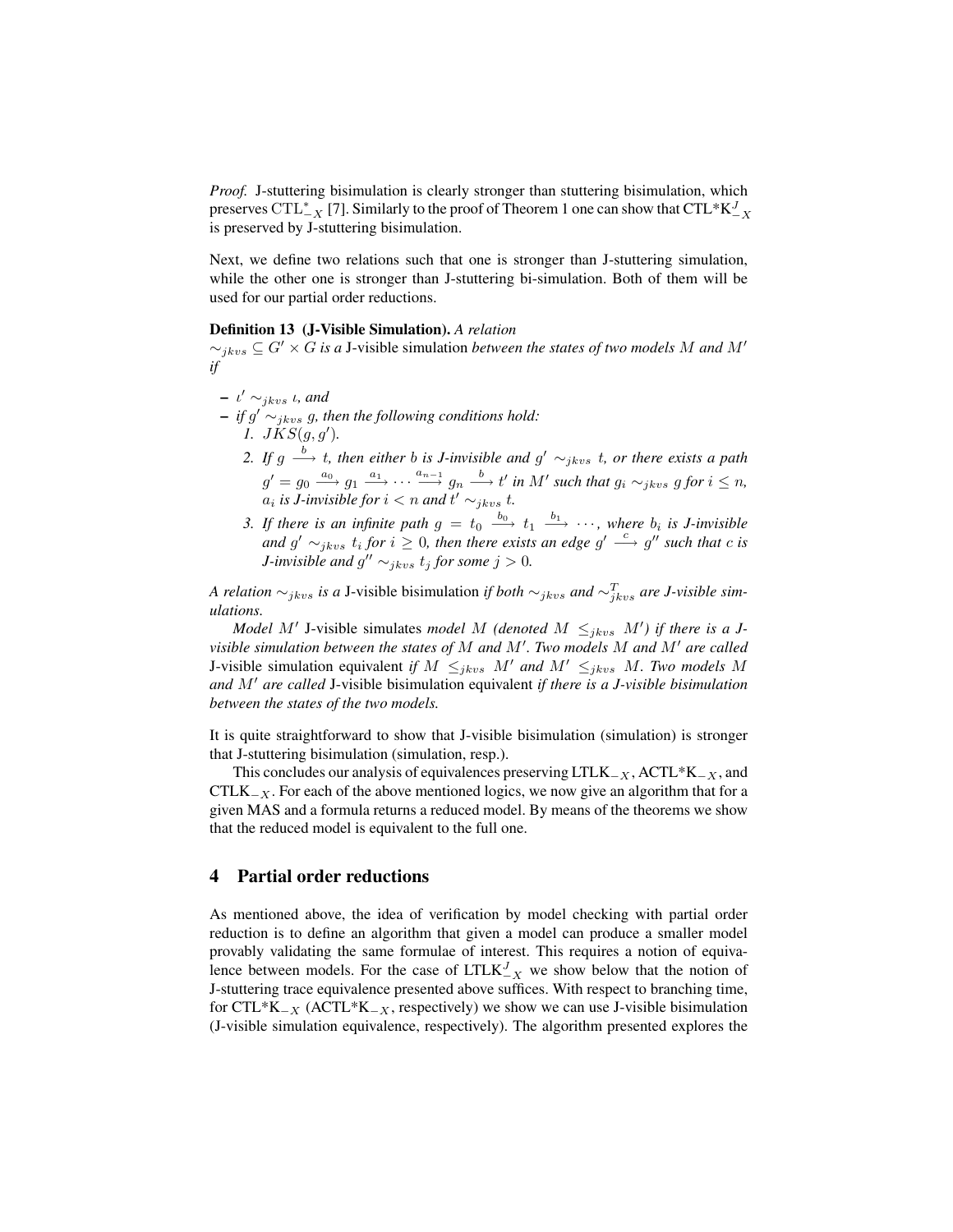*Proof.* J-stuttering bisimulation is clearly stronger than stuttering bisimulation, which preserves CTL<sup>\*</sup><sub>-X</sub> [7]. Similarly to the proof of Theorem 1 one can show that CTL\*K<sup>J</sup><sub>-X</sub> is preserved by J-stuttering bisimulation.

Next, we define two relations such that one is stronger than J-stuttering simulation, while the other one is stronger than J-stuttering bi-simulation. Both of them will be used for our partial order reductions.

#### Definition 13 (J-Visible Simulation). *A relation*

 $\sim_{jkvs}$  ⊆  $G' \times G$  *is a* J-visible simulation *between the states of two models* M *and* M' *if*

- $\iota' \sim_{jkvs} \iota$ , and  $\overline{\phantom{a}}$  *− if*  $g' \sim_{jkvs} g$ , then the following conditions hold: *1.*  $JKS(g, g')$ .
	- 2. If  $g \stackrel{b}{\longrightarrow} t$ , then either *b* is *J*-invisible and  $g' \sim_{jkvs} t$ , or there exists a path  $g' = g_0 \stackrel{a_0}{\longrightarrow} g_1 \stackrel{a_1}{\longrightarrow} \cdots \stackrel{a_{n-1}}{\longrightarrow} g_n \stackrel{b}{\longrightarrow} t'$  in M' such that  $g_i \sim_{jkvs} g$  for  $i \leq n$ ,  $a_i$  is *J*-invisible for  $i < n$  and  $t' \sim_{jkvs} t$ .
	- *3. If there is an infinite path*  $g = t_0 \stackrel{b_0}{\longrightarrow} t_1 \stackrel{b_1}{\longrightarrow} \cdots$ , where  $b_i$  is *J*-invisible and  $g' \sim_{jkvs} t_i$  for  $i \geq 0$ , then there exists an edge  $g' \stackrel{c}{\longrightarrow} g''$  such that c is *J*-invisible and  $g'' \sim_{jkvs} t_j$  for some  $j > 0$ .

*A relation*  $\sim_{jkvs}$  *is a* J-visible bisimulation *if both*  $\sim_{jkvs}$  *and*  $\sim_{jkvs}^T$  *are J-visible simulations.*

*Model M'* J-visible simulates *model M (denoted M*  $\leq_{jkvs} M'$ *) if there is a Jvisible simulation between the states of* M and M'. Two models M and M' are called J-visible simulation equivalent *if*  $M \leq_{jkvs} M'$  *and*  $M' \leq_{jkvs} M$ *. Two models* M *and* M' are called J-visible bisimulation equivalent *if there is a J-visible bisimulation between the states of the two models.*

It is quite straightforward to show that J-visible bisimulation (simulation) is stronger that J-stuttering bisimulation (simulation, resp.).

This concludes our analysis of equivalences preserving LTLK<sub> $-X$ </sub>, ACTL\*K<sub> $-X$ </sub>, and CTLK<sub> $-X$ </sub>. For each of the above mentioned logics, we now give an algorithm that for a given MAS and a formula returns a reduced model. By means of the theorems we show that the reduced model is equivalent to the full one.

#### 4 Partial order reductions

As mentioned above, the idea of verification by model checking with partial order reduction is to define an algorithm that given a model can produce a smaller model provably validating the same formulae of interest. This requires a notion of equivalence between models. For the case of  $LTLK_{-X}^{J}$  we show below that the notion of J-stuttering trace equivalence presented above suffices. With respect to branching time, for CTL\*K<sub> $-X$ </sub> (ACTL\*K<sub> $-X$ </sub>, respectively) we show we can use J-visible bisimulation (J-visible simulation equivalence, respectively). The algorithm presented explores the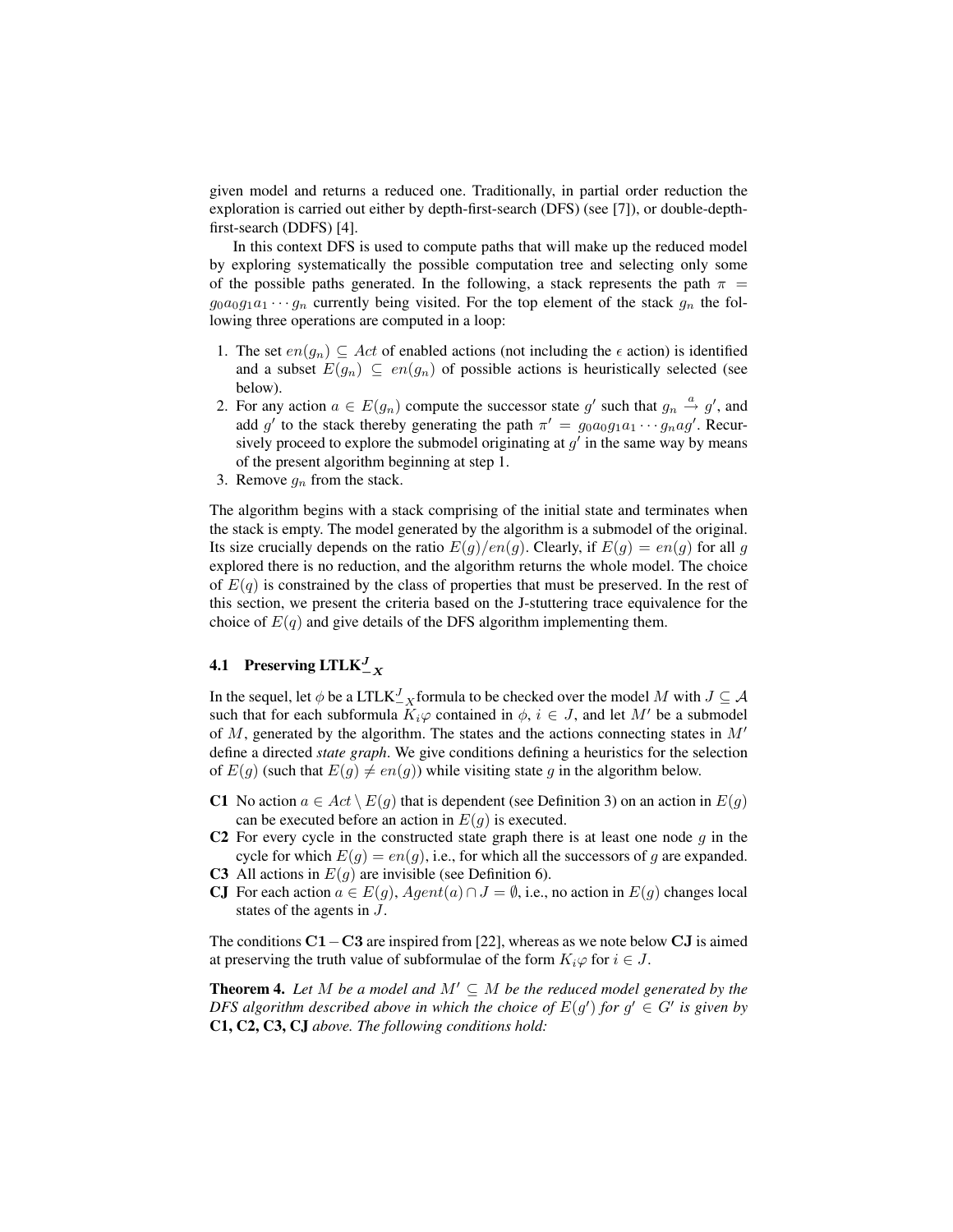given model and returns a reduced one. Traditionally, in partial order reduction the exploration is carried out either by depth-first-search (DFS) (see [7]), or double-depthfirst-search (DDFS) [4].

In this context DFS is used to compute paths that will make up the reduced model by exploring systematically the possible computation tree and selecting only some of the possible paths generated. In the following, a stack represents the path  $\pi$  =  $g_0a_0g_1a_1 \cdots g_n$  currently being visited. For the top element of the stack  $g_n$  the following three operations are computed in a loop:

- 1. The set  $en(g_n) \subseteq Act$  of enabled actions (not including the  $\epsilon$  action) is identified and a subset  $E(g_n) \subseteq en(g_n)$  of possible actions is heuristically selected (see below).
- 2. For any action  $a \in E(g_n)$  compute the successor state g' such that  $g_n \stackrel{a}{\rightarrow} g'$ , and add g' to the stack thereby generating the path  $\pi' = g_0 a_0 g_1 a_1 \cdots g_n a g'$ . Recursively proceed to explore the submodel originating at  $g'$  in the same way by means of the present algorithm beginning at step 1.
- 3. Remove  $g_n$  from the stack.

The algorithm begins with a stack comprising of the initial state and terminates when the stack is empty. The model generated by the algorithm is a submodel of the original. Its size crucially depends on the ratio  $E(g)/en(g)$ . Clearly, if  $E(g) = en(g)$  for all g explored there is no reduction, and the algorithm returns the whole model. The choice of  $E(q)$  is constrained by the class of properties that must be preserved. In the rest of this section, we present the criteria based on the J-stuttering trace equivalence for the choice of  $E(q)$  and give details of the DFS algorithm implementing them.

# **4.1** Preserving  $LTLK_{-X}^J$

In the sequel, let  $\phi$  be a  $\text{LTLK}_{-X}^{J}$  formula to be checked over the model  $M$  with  $J \subseteq \mathcal{A}$ such that for each subformula  $K_i\varphi$  contained in  $\phi$ ,  $i \in J$ , and let M' be a submodel of  $M$ , generated by the algorithm. The states and the actions connecting states in  $M'$ define a directed *state graph*. We give conditions defining a heuristics for the selection of  $E(g)$  (such that  $E(g) \neq en(g)$ ) while visiting state g in the algorithm below.

- C1 No action  $a \in Act \setminus E(g)$  that is dependent (see Definition 3) on an action in  $E(g)$ can be executed before an action in  $E(q)$  is executed.
- C2 For every cycle in the constructed state graph there is at least one node  $g$  in the cycle for which  $E(g) = en(g)$ , i.e., for which all the successors of g are expanded.
- C3 All actions in  $E(q)$  are invisible (see Definition 6).
- CJ For each action  $a \in E(g)$ ,  $Agent(a) \cap J = \emptyset$ , i.e., no action in  $E(g)$  changes local states of the agents in J.

The conditions C1−C3 are inspired from [22], whereas as we note below CJ is aimed at preserving the truth value of subformulae of the form  $K_i\varphi$  for  $i \in J$ .

**Theorem 4.** Let M be a model and  $M' \subseteq M$  be the reduced model generated by the *DFS algorithm described above in which the choice of*  $E(g')$  *for*  $g' \in G'$  *is given by* C1, C2, C3, CJ *above. The following conditions hold:*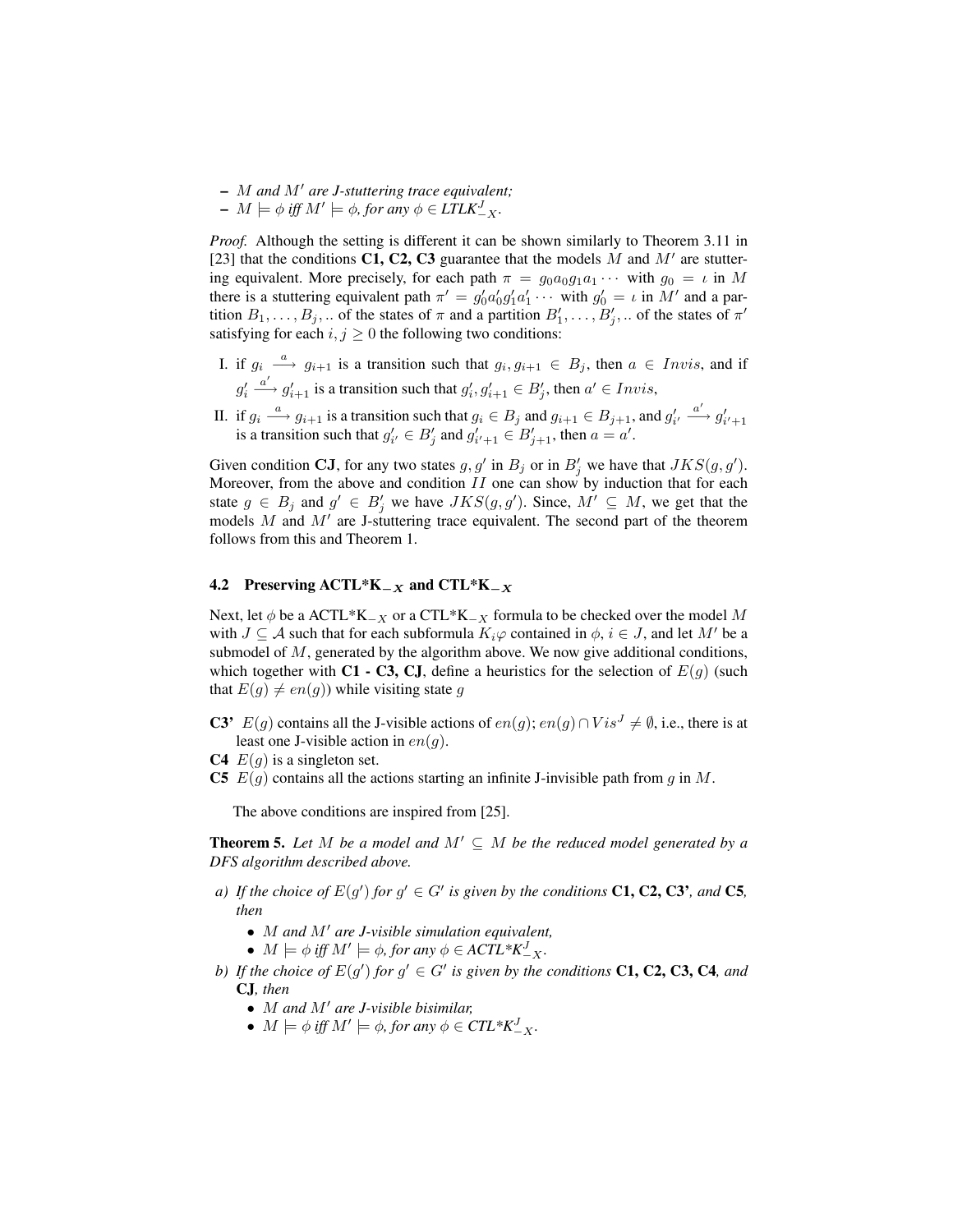- M *and* M<sup>0</sup> *are J-stuttering trace equivalent;*
- $M \models \phi \text{ iff } M' \models \phi, \text{ for any } \phi \in \text{LTLK}_{-X}^J.$

*Proof.* Although the setting is different it can be shown similarly to Theorem 3.11 in [23] that the conditions C1, C2, C3 guarantee that the models  $M$  and  $M'$  are stuttering equivalent. More precisely, for each path  $\pi = g_0 a_0 g_1 a_1 \cdots$  with  $g_0 = \iota$  in M there is a stuttering equivalent path  $\pi' = g'_0 a'_0 g'_1 a'_1 \cdots$  with  $g'_0 = \iota$  in M' and a partition  $B_1, \ldots, B_j, \ldots$  of the states of  $\pi$  and a partition  $B'_1, \ldots, B'_j, \ldots$  of the states of  $\pi'$ satisfying for each  $i, j \geq 0$  the following two conditions:

- I. if  $g_i \stackrel{a}{\longrightarrow} g_{i+1}$  is a transition such that  $g_i, g_{i+1} \in B_j$ , then  $a \in Invis$ , and if  $g_i'$  $a' \rightarrow g'_{i+1}$  is a transition such that  $g'_i, g'_{i+1} \in B'_j$ , then  $a' \in Invis$ ,
- II. if  $g_i \xrightarrow{a} g_{i+1}$  is a transition such that  $g_i \in B_j$  and  $g_{i+1} \in B_{j+1}$ , and  $g'_{i'} \xrightarrow{a'} g'_{i'+1}$  is a transition such that  $g'_{i'} \in B'_j$  and  $g'_{i'+1} \in B'_{j+1}$ , then  $a = a'$ .

Given condition CJ, for any two states  $g, g'$  in  $B_j$  or in  $B'_j$  we have that  $JKS(g, g')$ . Moreover, from the above and condition  $II$  one can show by induction that for each state  $g \in B_j$  and  $g' \in B'_j$  we have  $JKS(g, g')$ . Since,  $M' \subseteq M$ , we get that the models  $M$  and  $M'$  are J-stuttering trace equivalent. The second part of the theorem follows from this and Theorem 1.

#### 4.2 Preserving  $\text{ACTL*K}_{-X}$  and  $\text{CTL*K}_{-X}$

Next, let  $\phi$  be a ACTL\*K<sub>-X</sub> or a CTL\*K<sub>-X</sub> formula to be checked over the model M with  $J \subseteq A$  such that for each subformula  $K_i\varphi$  contained in  $\phi, i \in J$ , and let M' be a submodel of  $M$ , generated by the algorithm above. We now give additional conditions, which together with C1 - C3, CJ, define a heuristics for the selection of  $E(g)$  (such that  $E(g) \neq en(g)$ ) while visiting state g

- C3'  $E(g)$  contains all the J-visible actions of  $en(g)$ ;  $en(g) \cap Vis^J \neq \emptyset$ , i.e., there is at least one J-visible action in  $en(g)$ .
- C4  $E(q)$  is a singleton set.
- C5  $E(g)$  contains all the actions starting an infinite J-invisible path from g in M.

The above conditions are inspired from [25].

**Theorem 5.** Let M be a model and  $M' \subseteq M$  be the reduced model generated by a *DFS algorithm described above.*

- *a*) If the choice of  $E(g')$  for  $g' \in G'$  is given by the conditions **C1, C2, C3'***, and* **C5***, then*
	- *M* and *M'* are *J-visible simulation equivalent*,
	- $M \models \phi$  *iff*  $M' \models \phi$ , for any  $\phi \in ACTL^*K_{-X}^J$ .
- *b*) If the choice of  $E(g')$  for  $g' \in G'$  is given by the conditions **C1, C2, C3, C4**, and CJ*, then*
	- *M* and *M'* are *J-visible bisimilar*,
	- $M \models \phi$  *iff*  $M' \models \phi$ *, for any*  $\phi \in \mathit{CTL}^*K^J_{-X}$ *.*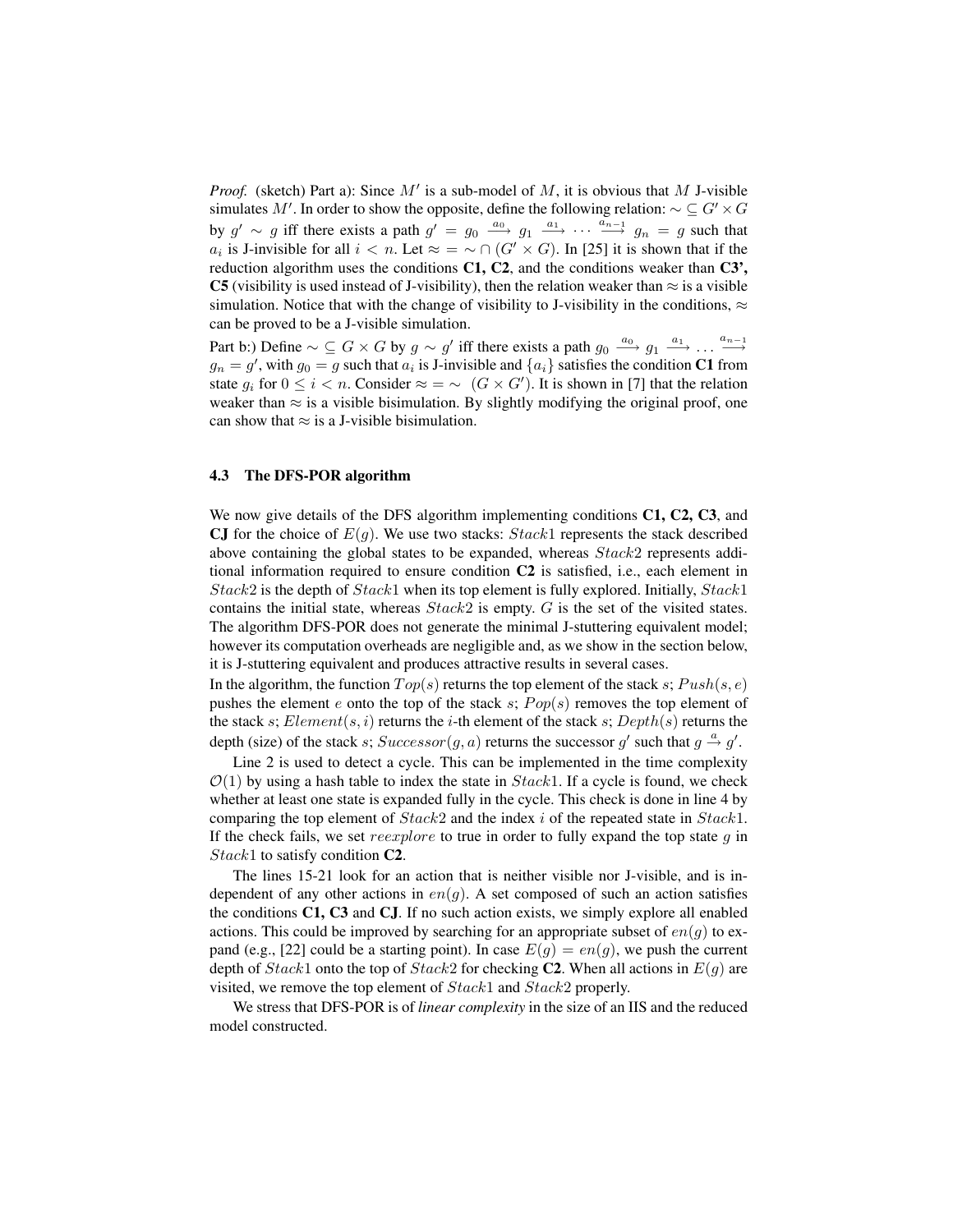*Proof.* (sketch) Part a): Since  $M'$  is a sub-model of M, it is obvious that M J-visible simulates M'. In order to show the opposite, define the following relation:  $\sim \mathcal{L} G' \times G$ by  $g' \sim g$  iff there exists a path  $g' = g_0 \stackrel{a_0}{\longrightarrow} g_1 \stackrel{a_1}{\longrightarrow} \cdots \stackrel{a_{n-1}}{\longrightarrow} g_n = g$  such that  $a_i$  is J-invisible for all  $i < n$ . Let  $\approx \infty \cap (G' \times G)$ . In [25] it is shown that if the reduction algorithm uses the conditions C1, C2, and the conditions weaker than C3', C5 (visibility is used instead of J-visibility), then the relation weaker than  $\approx$  is a visible simulation. Notice that with the change of visibility to J-visibility in the conditions,  $\approx$ can be proved to be a J-visible simulation.

Part b:) Define  $\sim \subseteq G \times G$  by  $g \sim g'$  iff there exists a path  $g_0 \stackrel{a_0}{\longrightarrow} g_1 \stackrel{a_1}{\longrightarrow} \ldots \stackrel{a_{n-1}}{\longrightarrow}$  $g_n = g'$ , with  $g_0 = g$  such that  $a_i$  is J-invisible and  $\{a_i\}$  satisfies the condition C1 from state  $g_i$  for  $0 \le i < n$ . Consider  $\approx \infty$   $(G \times G')$ . It is shown in [7] that the relation weaker than  $\approx$  is a visible bisimulation. By slightly modifying the original proof, one can show that  $\approx$  is a J-visible bisimulation.

#### 4.3 The DFS-POR algorithm

We now give details of the DFS algorithm implementing conditions C1, C2, C3, and CJ for the choice of  $E(q)$ . We use two stacks:  $Stack1$  represents the stack described above containing the global states to be expanded, whereas Stack2 represents additional information required to ensure condition C2 is satisfied, i.e., each element in  $Stack2$  is the depth of  $Stack1$  when its top element is fully explored. Initially,  $Stack1$ contains the initial state, whereas  $Stack2$  is empty.  $G$  is the set of the visited states. The algorithm DFS-POR does not generate the minimal J-stuttering equivalent model; however its computation overheads are negligible and, as we show in the section below, it is J-stuttering equivalent and produces attractive results in several cases.

In the algorithm, the function  $Top(s)$  returns the top element of the stack s;  $Push(s, e)$ pushes the element e onto the top of the stack s;  $Pop(s)$  removes the top element of the stack s;  $Element(s, i)$  returns the *i*-th element of the stack s;  $Depth(s)$  returns the depth (size) of the stack s;  $Successor(g, a)$  returns the successor g' such that  $g \stackrel{a}{\rightarrow} g'$ .

Line 2 is used to detect a cycle. This can be implemented in the time complexity  $\mathcal{O}(1)$  by using a hash table to index the state in  $Stack1$ . If a cycle is found, we check whether at least one state is expanded fully in the cycle. This check is done in line 4 by comparing the top element of  $Stack2$  and the index i of the repeated state in  $Stack1$ . If the check fails, we set reexplore to true in order to fully expand the top state  $q$  in Stack1 to satisfy condition **C2**.

The lines 15-21 look for an action that is neither visible nor J-visible, and is independent of any other actions in  $en(q)$ . A set composed of such an action satisfies the conditions C1, C3 and CJ. If no such action exists, we simply explore all enabled actions. This could be improved by searching for an appropriate subset of  $en(g)$  to expand (e.g., [22] could be a starting point). In case  $E(g) = en(g)$ , we push the current depth of  $Stack1$  onto the top of  $Stack2$  for checking C2. When all actions in  $E(q)$  are visited, we remove the top element of  $Stack1$  and  $Stack2$  properly.

We stress that DFS-POR is of *linear complexity* in the size of an IIS and the reduced model constructed.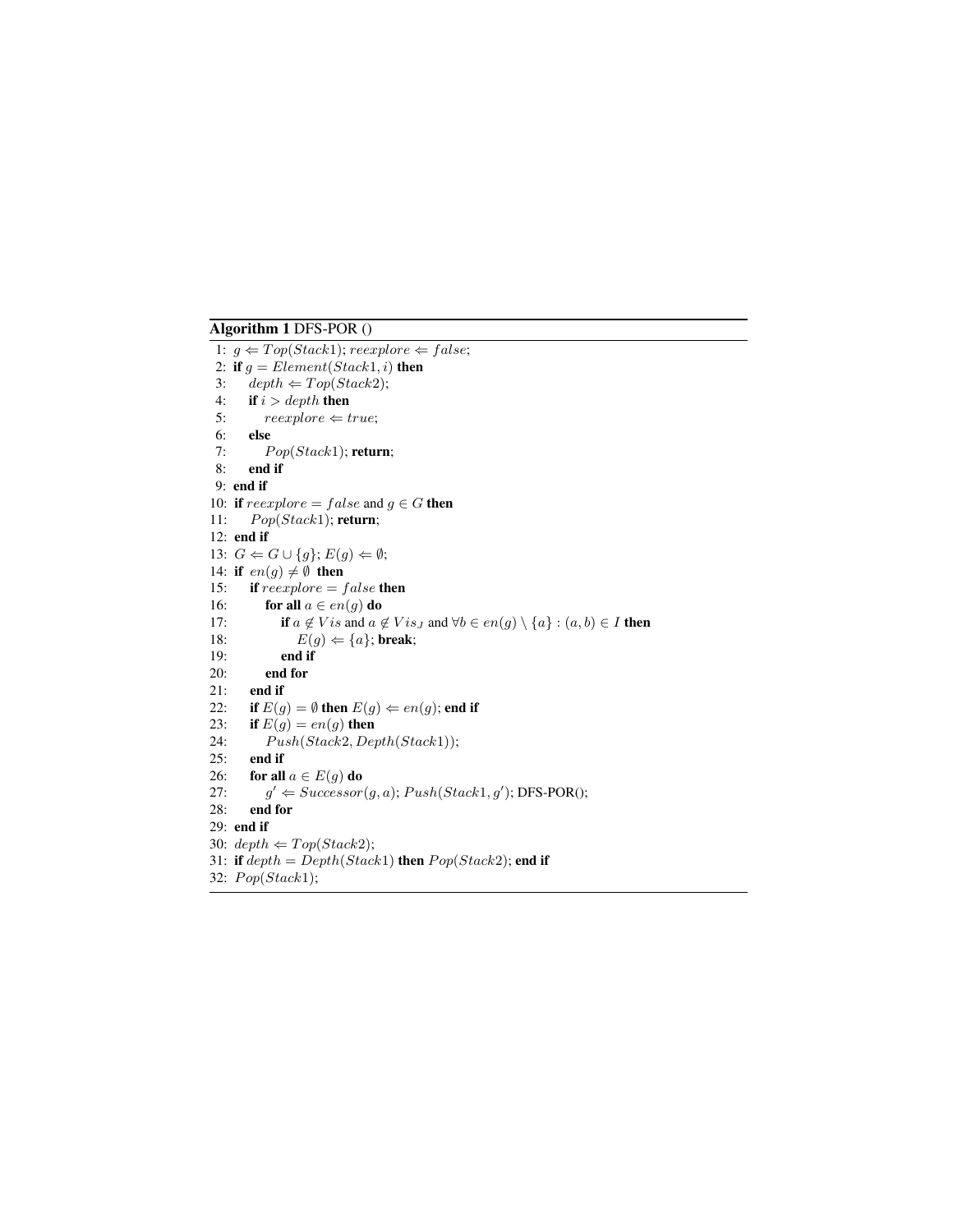## Algorithm 1 DFS-POR ()

1:  $g \leftarrow Top(Stack1); \, reexplore \leftarrow false;$ 2: if  $g = Element(Stack1, i)$  then 3:  $depth \Leftarrow Top(Stack2);$ 4: if  $i > depth$  then 5:  $reexplore \Leftarrow true;$ 6: else 7:  $Pop(Stack1);$  return; 8: end if 9: end if 10: if  $reexplore = false$  and  $g \in G$  then 11:  $Pop(Stack1);$  return; 12: end if 13:  $G \Leftarrow G \cup \{g\}$ ;  $E(g) \Leftarrow \emptyset$ ; 14: if  $en(g) \neq \emptyset$  then 15: if  $reexplore = false$  then 16: **for all**  $a \in en(g)$  **do** 17: **if**  $a \notin Vis$  and  $a \notin Vis_J$  and  $\forall b \in en(g) \setminus \{a\} : (a, b) \in I$  then 18:  $E(g) \Leftarrow \{a\};$  break; 19: end if 20: end for 21: end if 22: if  $E(g) = \emptyset$  then  $E(g) \Leftarrow en(g)$ ; end if 23: if  $E(g) = en(g)$  then 24:  $Push(Stack2, Depth(Stack1));$ 25: end if 26: for all  $a \in E(g)$  do  $27:$  $\ell' \Leftarrow Successor(g, a); Push(Stack1, g');$  DFS-POR(); 28: end for 29: end if 30:  $depth \Leftarrow Top(Stack2);$ 31: if  $depth = Depth(Stack1)$  then  $Pop(Stack2)$ ; end if 32:  $Pop(Stack1);$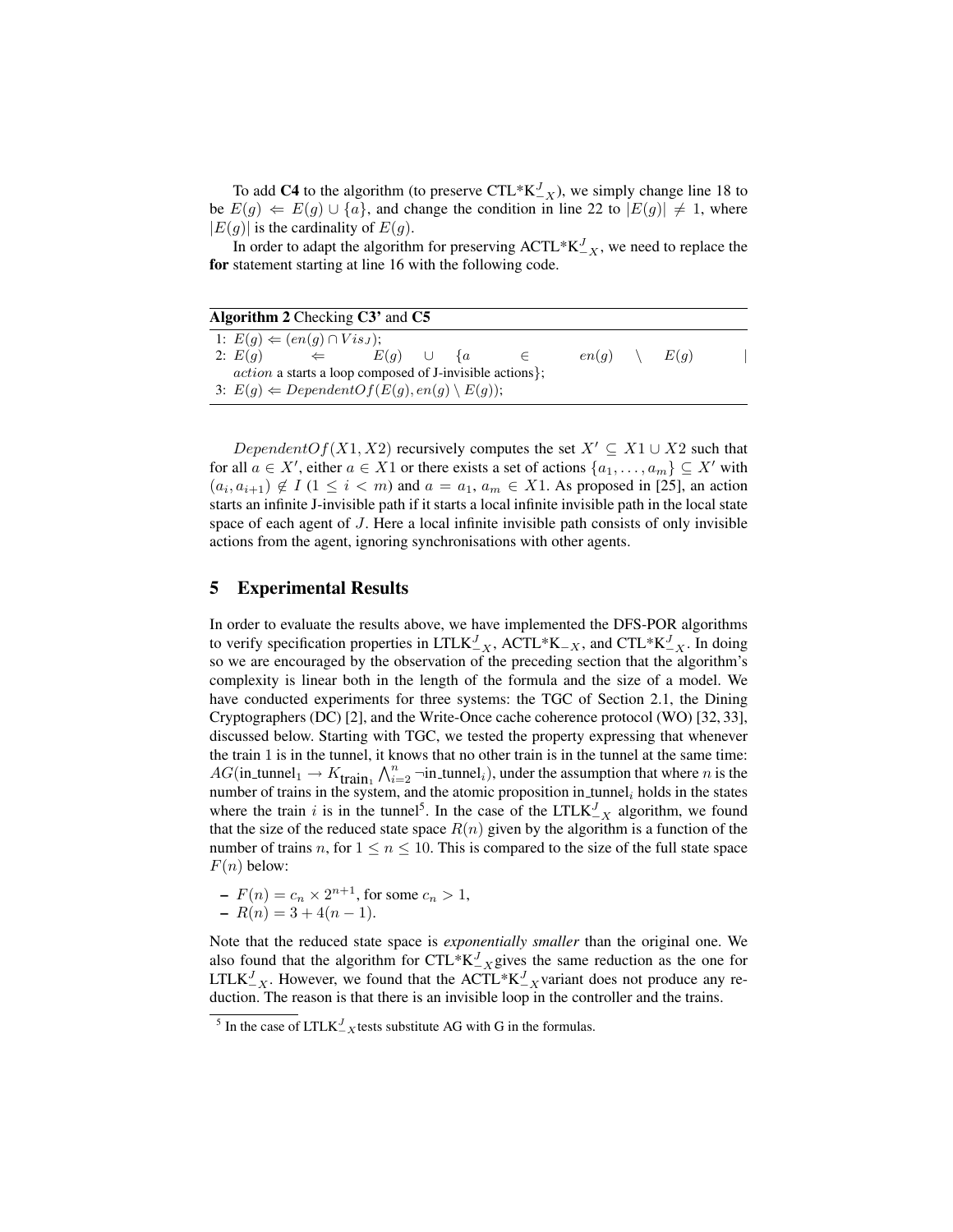To add C4 to the algorithm (to preserve  $\text{CTL}^* \text{K}_{-X}^J$ ), we simply change line 18 to be  $E(g) \leftarrow E(g) \cup \{a\}$ , and change the condition in line 22 to  $|E(g)| \neq 1$ , where  $|E(g)|$  is the cardinality of  $E(g)$ .

In order to adapt the algorithm for preserving ACTL\* $K_{-X}^J$ , we need to replace the for statement starting at line 16 with the following code.

| Algorithm 2 Checking C3' and C5                                  |              |               |  |       |  |       |      |  |
|------------------------------------------------------------------|--------------|---------------|--|-------|--|-------|------|--|
| 1: $E(g) \Leftarrow (en(g) \cap Vis_J);$                         |              |               |  |       |  |       |      |  |
| 2: $E(a)$                                                        | $\Leftarrow$ | $E(q)$ $\cup$ |  | $\{a$ |  | en(q) | E(q) |  |
| <i>action</i> a starts a loop composed of J-invisible actions }; |              |               |  |       |  |       |      |  |
| 3: $E(g) \leftarrow DependentOf(E(g), en(g) \setminus E(g));$    |              |               |  |       |  |       |      |  |

DependentOf(X1, X2) recursively computes the set  $X' \subseteq X1 \cup X2$  such that for all  $a \in X'$ , either  $a \in X1$  or there exists a set of actions  $\{a_1, \ldots, a_m\} \subseteq X'$  with  $(a_i, a_{i+1}) \notin I$  (1  $\leq i < m$ ) and  $a = a_1, a_m \in X1$ . As proposed in [25], an action starts an infinite J-invisible path if it starts a local infinite invisible path in the local state space of each agent of J. Here a local infinite invisible path consists of only invisible actions from the agent, ignoring synchronisations with other agents.

## 5 Experimental Results

In order to evaluate the results above, we have implemented the DFS-POR algorithms to verify specification properties in LTLK<sup>J</sup><sub>-X</sub>, ACTL\*K<sub>-X</sub>, and CTL\*K<sup>J</sup><sub>-X</sub>. In doing so we are encouraged by the observation of the preceding section that the algorithm's complexity is linear both in the length of the formula and the size of a model. We have conducted experiments for three systems: the TGC of Section 2.1, the Dining Cryptographers (DC) [2], and the Write-Once cache coherence protocol (WO) [32, 33], discussed below. Starting with TGC, we tested the property expressing that whenever the train 1 is in the tunnel, it knows that no other train is in the tunnel at the same time:  $AG$ (in\_tunnel<sub>1</sub>  $\rightarrow$   $K_{\text{train}_1} \wedge_{i=2}^n$  ¬in\_tunnel<sub>i</sub>), under the assumption that where *n* is the number of trains in the system, and the atomic proposition in tunnel<sub>i</sub> holds in the states where the train i is in the tunnel<sup>5</sup>. In the case of the LTLK $_{-X}^{J}$  algorithm, we found that the size of the reduced state space  $R(n)$  given by the algorithm is a function of the number of trains n, for  $1 \le n \le 10$ . This is compared to the size of the full state space  $F(n)$  below:

- 
$$
F(n) = c_n \times 2^{n+1}
$$
, for some  $c_n > 1$ ,  
-  $R(n) = 3 + 4(n - 1)$ .

Note that the reduced state space is *exponentially smaller* than the original one. We also found that the algorithm for  $\text{CTL}^* \text{K}_{-X}^J$  gives the same reduction as the one for LTLK<sup>J</sup><sub> $-X$ </sub>. However, we found that the ACTL<sup>\*</sup>K<sup>J</sup><sub> $-X$ </sub> variant does not produce any reduction. The reason is that there is an invisible loop in the controller and the trains.

<sup>&</sup>lt;sup>5</sup> In the case of LTLK<sup>J</sup><sub> $-X$ </sub> tests substitute AG with G in the formulas.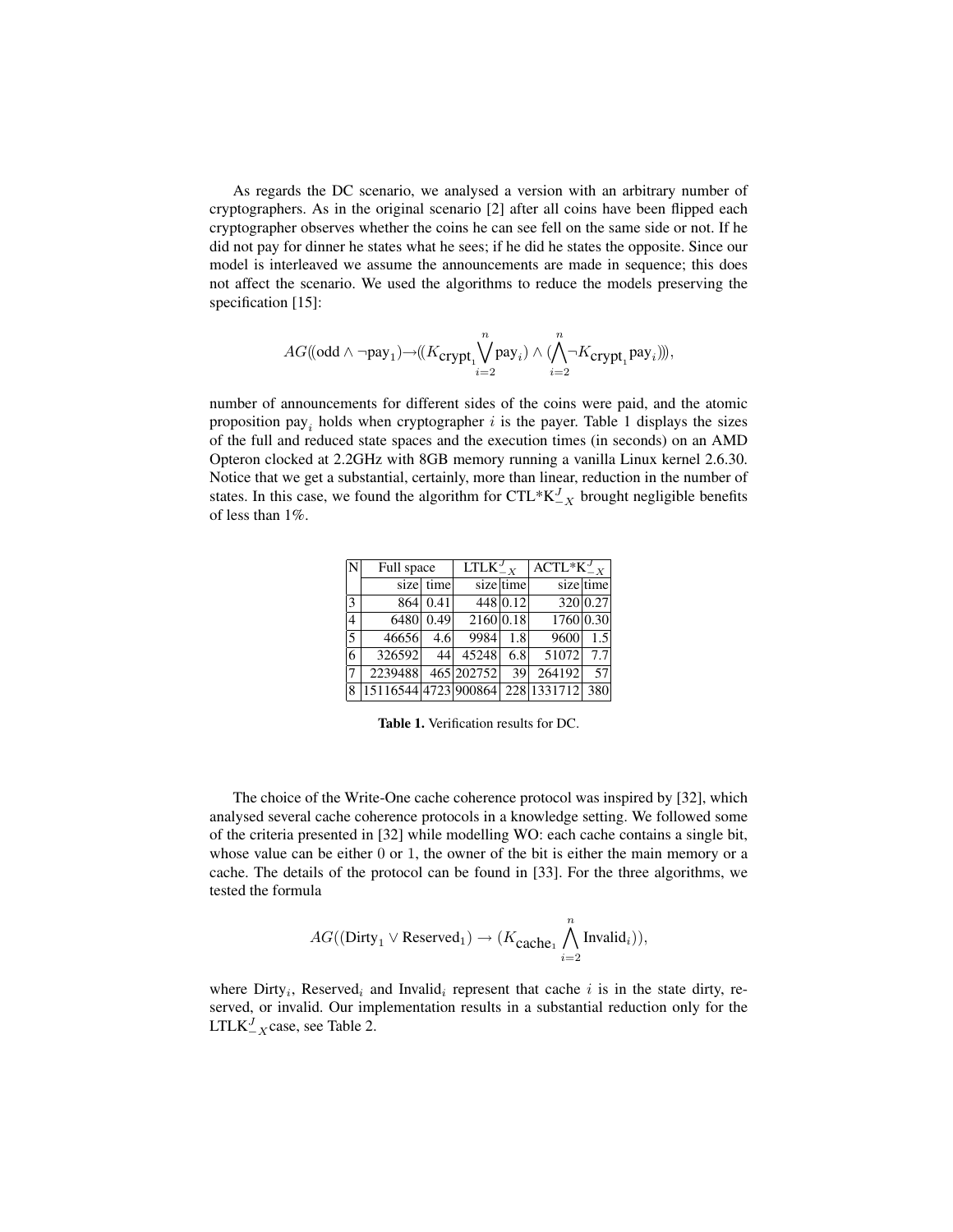As regards the DC scenario, we analysed a version with an arbitrary number of cryptographers. As in the original scenario [2] after all coins have been flipped each cryptographer observes whether the coins he can see fell on the same side or not. If he did not pay for dinner he states what he sees; if he did he states the opposite. Since our model is interleaved we assume the announcements are made in sequence; this does not affect the scenario. We used the algorithms to reduce the models preserving the specification [15]:

$$
AG((\text{odd} \wedge \neg \text{pay}_1) \neg ((K_{\text{crypt}_1} \bigvee^n_{i=2} \text{pay}_i) \wedge (\bigwedge^n_{i=2} \neg K_{\text{crypt}_1} \text{pay}_i))),
$$

number of announcements for different sides of the coins were paid, and the atomic proposition pay<sub>i</sub> holds when cryptographer i is the payer. Table 1 displays the sizes of the full and reduced state spaces and the execution times (in seconds) on an AMD Opteron clocked at 2.2GHz with 8GB memory running a vanilla Linux kernel 2.6.30. Notice that we get a substantial, certainly, more than linear, reduction in the number of states. In this case, we found the algorithm for  $\text{CTL}^* \text{K}_{-X}^J$  brought negligible benefits of less than 1%.

| N              | Full space           |           | $LTLK_{-X}^J$ |             | $\text{ACTL}^* \text{K}^J_{-X}$ |           |  |
|----------------|----------------------|-----------|---------------|-------------|---------------------------------|-----------|--|
|                |                      | size time |               | $size$ time |                                 | sizeltime |  |
| 3              | 864                  | 0.41      |               | 448 0.12    |                                 | 320 0.27  |  |
| $\overline{4}$ | 6480                 | 0.49      | 2160 0.18     |             | 1760 0.30                       |           |  |
| 5              | 46656                | 4.6       | 9984          | 1.8         | $\overline{9600}$               | 1.5       |  |
| 6              | 326592               | 44        | 45248         | 6.8         | 51072                           | 7.7       |  |
| 17             | 2239488              |           | 465 202752    | 39          | 264192                          | 57        |  |
| 8              | 15116544 4723 900864 |           |               |             | 228 1331712 380                 |           |  |

Table 1. Verification results for DC.

The choice of the Write-One cache coherence protocol was inspired by [32], which analysed several cache coherence protocols in a knowledge setting. We followed some of the criteria presented in [32] while modelling WO: each cache contains a single bit, whose value can be either 0 or 1, the owner of the bit is either the main memory or a cache. The details of the protocol can be found in [33]. For the three algorithms, we tested the formula

$$
AG((\text{Dirty}_1 \vee \text{Reserved}_1) \rightarrow (K_{\text{cache}_1} \bigwedge_{i=2}^n \text{Invalid}_i)),
$$

where  $\text{Dirty}_i$ , Reserved<sub>i</sub> and Invalid<sub>i</sub> represent that cache i is in the state dirty, reserved, or invalid. Our implementation results in a substantial reduction only for the LTLK ${}^J_{-X}$ case, see Table 2.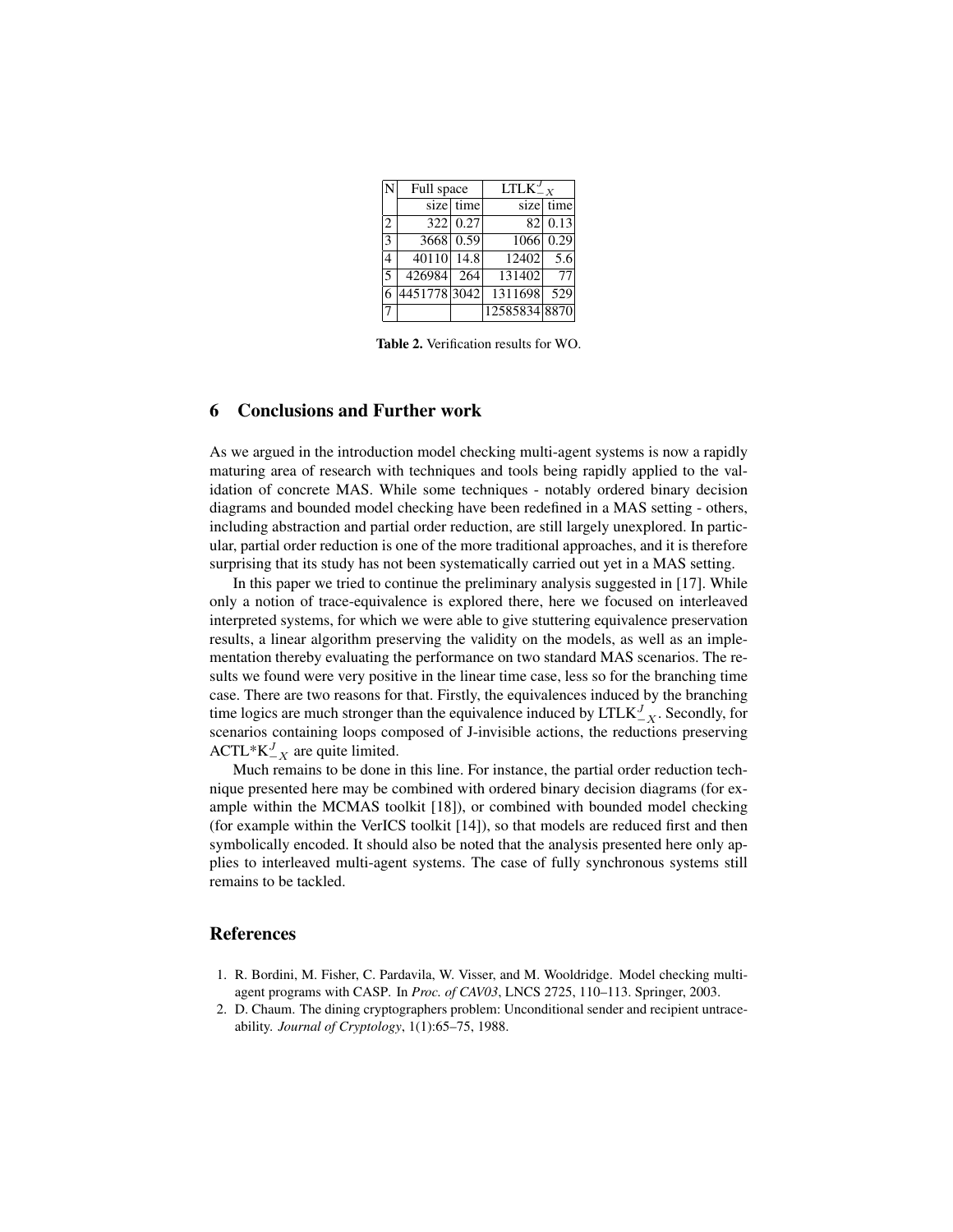|                          | Full space  |           | $\overline{\text{LTLK}}_{-X}^{J}$ |                  |  |
|--------------------------|-------------|-----------|-----------------------------------|------------------|--|
|                          |             | size time |                                   | size time        |  |
| 2                        |             | 322 0.27  |                                   | 82 0.13          |  |
| $\overline{\mathbf{3}}$  |             | 3668 0.59 | 1066                              | 0.29             |  |
| 4                        | 40110 14.8  |           | 12402                             | $\overline{5.6}$ |  |
| $\overline{\phantom{0}}$ | 426984      | 264       | 131402                            | 77               |  |
|                          | 44517783042 |           | 1311698                           | 529              |  |
| 7                        |             |           | 12585834 8870                     |                  |  |

Table 2. Verification results for WO.

## 6 Conclusions and Further work

As we argued in the introduction model checking multi-agent systems is now a rapidly maturing area of research with techniques and tools being rapidly applied to the validation of concrete MAS. While some techniques - notably ordered binary decision diagrams and bounded model checking have been redefined in a MAS setting - others, including abstraction and partial order reduction, are still largely unexplored. In particular, partial order reduction is one of the more traditional approaches, and it is therefore surprising that its study has not been systematically carried out yet in a MAS setting.

In this paper we tried to continue the preliminary analysis suggested in [17]. While only a notion of trace-equivalence is explored there, here we focused on interleaved interpreted systems, for which we were able to give stuttering equivalence preservation results, a linear algorithm preserving the validity on the models, as well as an implementation thereby evaluating the performance on two standard MAS scenarios. The results we found were very positive in the linear time case, less so for the branching time case. There are two reasons for that. Firstly, the equivalences induced by the branching time logics are much stronger than the equivalence induced by  $LTLK_{-X}^J$ . Secondly, for scenarios containing loops composed of J-invisible actions, the reductions preserving ACTL\* $K_{-X}^J$  are quite limited.

Much remains to be done in this line. For instance, the partial order reduction technique presented here may be combined with ordered binary decision diagrams (for example within the MCMAS toolkit [18]), or combined with bounded model checking (for example within the VerICS toolkit [14]), so that models are reduced first and then symbolically encoded. It should also be noted that the analysis presented here only applies to interleaved multi-agent systems. The case of fully synchronous systems still remains to be tackled.

#### References

- 1. R. Bordini, M. Fisher, C. Pardavila, W. Visser, and M. Wooldridge. Model checking multiagent programs with CASP. In *Proc. of CAV03*, LNCS 2725, 110–113. Springer, 2003.
- 2. D. Chaum. The dining cryptographers problem: Unconditional sender and recipient untraceability. *Journal of Cryptology*, 1(1):65–75, 1988.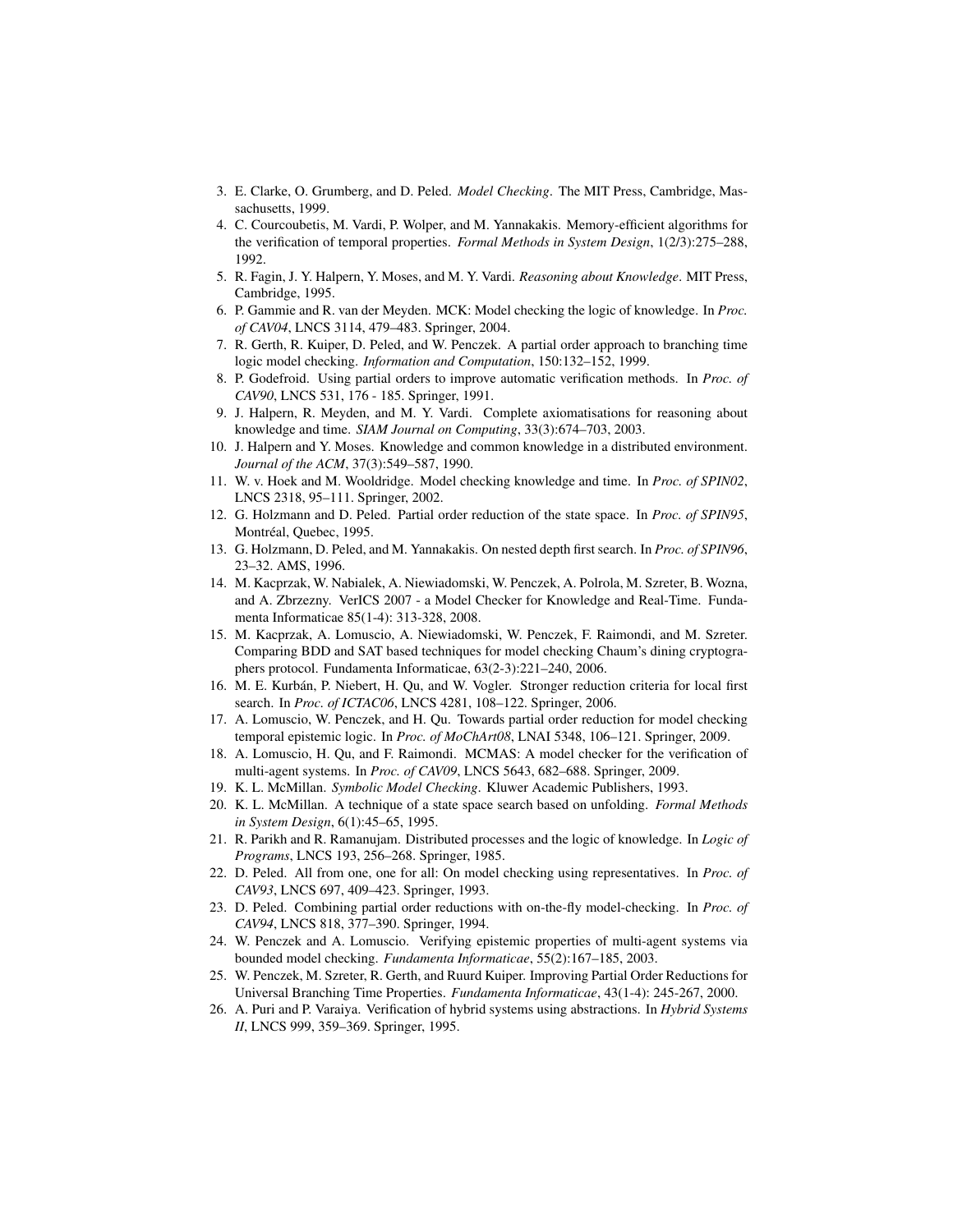- 3. E. Clarke, O. Grumberg, and D. Peled. *Model Checking*. The MIT Press, Cambridge, Massachusetts, 1999.
- 4. C. Courcoubetis, M. Vardi, P. Wolper, and M. Yannakakis. Memory-efficient algorithms for the verification of temporal properties. *Formal Methods in System Design*, 1(2/3):275–288, 1992.
- 5. R. Fagin, J. Y. Halpern, Y. Moses, and M. Y. Vardi. *Reasoning about Knowledge*. MIT Press, Cambridge, 1995.
- 6. P. Gammie and R. van der Meyden. MCK: Model checking the logic of knowledge. In *Proc. of CAV04*, LNCS 3114, 479–483. Springer, 2004.
- 7. R. Gerth, R. Kuiper, D. Peled, and W. Penczek. A partial order approach to branching time logic model checking. *Information and Computation*, 150:132–152, 1999.
- 8. P. Godefroid. Using partial orders to improve automatic verification methods. In *Proc. of CAV90*, LNCS 531, 176 - 185. Springer, 1991.
- 9. J. Halpern, R. Meyden, and M. Y. Vardi. Complete axiomatisations for reasoning about knowledge and time. *SIAM Journal on Computing*, 33(3):674–703, 2003.
- 10. J. Halpern and Y. Moses. Knowledge and common knowledge in a distributed environment. *Journal of the ACM*, 37(3):549–587, 1990.
- 11. W. v. Hoek and M. Wooldridge. Model checking knowledge and time. In *Proc. of SPIN02*, LNCS 2318, 95–111. Springer, 2002.
- 12. G. Holzmann and D. Peled. Partial order reduction of the state space. In *Proc. of SPIN95*, Montréal, Quebec, 1995.
- 13. G. Holzmann, D. Peled, and M. Yannakakis. On nested depth first search. In *Proc. of SPIN96*, 23–32. AMS, 1996.
- 14. M. Kacprzak, W. Nabialek, A. Niewiadomski, W. Penczek, A. Polrola, M. Szreter, B. Wozna, and A. Zbrzezny. VerICS 2007 - a Model Checker for Knowledge and Real-Time. Fundamenta Informaticae 85(1-4): 313-328, 2008.
- 15. M. Kacprzak, A. Lomuscio, A. Niewiadomski, W. Penczek, F. Raimondi, and M. Szreter. Comparing BDD and SAT based techniques for model checking Chaum's dining cryptographers protocol. Fundamenta Informaticae, 63(2-3):221–240, 2006.
- 16. M. E. Kurbán, P. Niebert, H. Qu, and W. Vogler. Stronger reduction criteria for local first search. In *Proc. of ICTAC06*, LNCS 4281, 108–122. Springer, 2006.
- 17. A. Lomuscio, W. Penczek, and H. Qu. Towards partial order reduction for model checking temporal epistemic logic. In *Proc. of MoChArt08*, LNAI 5348, 106–121. Springer, 2009.
- 18. A. Lomuscio, H. Qu, and F. Raimondi. MCMAS: A model checker for the verification of multi-agent systems. In *Proc. of CAV09*, LNCS 5643, 682–688. Springer, 2009.
- 19. K. L. McMillan. *Symbolic Model Checking*. Kluwer Academic Publishers, 1993.
- 20. K. L. McMillan. A technique of a state space search based on unfolding. *Formal Methods in System Design*, 6(1):45–65, 1995.
- 21. R. Parikh and R. Ramanujam. Distributed processes and the logic of knowledge. In *Logic of Programs*, LNCS 193, 256–268. Springer, 1985.
- 22. D. Peled. All from one, one for all: On model checking using representatives. In *Proc. of CAV93*, LNCS 697, 409–423. Springer, 1993.
- 23. D. Peled. Combining partial order reductions with on-the-fly model-checking. In *Proc. of CAV94*, LNCS 818, 377–390. Springer, 1994.
- 24. W. Penczek and A. Lomuscio. Verifying epistemic properties of multi-agent systems via bounded model checking. *Fundamenta Informaticae*, 55(2):167–185, 2003.
- 25. W. Penczek, M. Szreter, R. Gerth, and Ruurd Kuiper. Improving Partial Order Reductions for Universal Branching Time Properties. *Fundamenta Informaticae*, 43(1-4): 245-267, 2000.
- 26. A. Puri and P. Varaiya. Verification of hybrid systems using abstractions. In *Hybrid Systems II*, LNCS 999, 359–369. Springer, 1995.